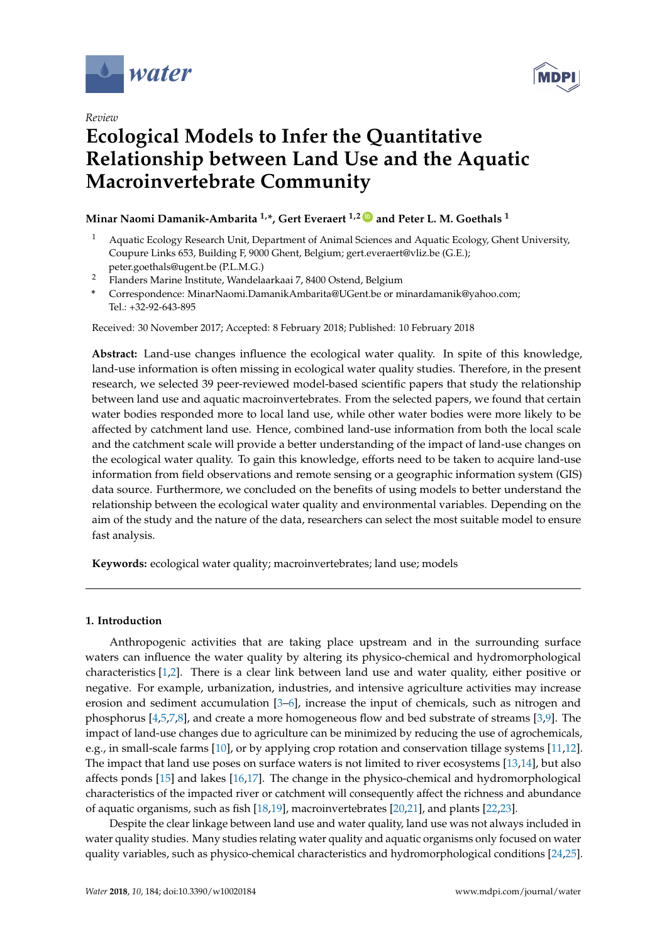

*Review*



# **Ecological Models to Infer the Quantitative Relationship between Land Use and the Aquatic Macroinvertebrate Community**

# **Minar Naomi Damanik-Ambarita 1,\*, Gert Everaert 1,2 [ID](https://orcid.org/0000-0003-4305-0617) and Peter L. M. Goethals <sup>1</sup>**

- <sup>1</sup> Aquatic Ecology Research Unit, Department of Animal Sciences and Aquatic Ecology, Ghent University, Coupure Links 653, Building F, 9000 Ghent, Belgium; gert.everaert@vliz.be (G.E.); peter.goethals@ugent.be (P.L.M.G.)
- <sup>2</sup> Flanders Marine Institute, Wandelaarkaai 7, 8400 Ostend, Belgium
- **\*** Correspondence: MinarNaomi.DamanikAmbarita@UGent.be or minardamanik@yahoo.com; Tel.: +32-92-643-895

Received: 30 November 2017; Accepted: 8 February 2018; Published: 10 February 2018

**Abstract:** Land-use changes influence the ecological water quality. In spite of this knowledge, land-use information is often missing in ecological water quality studies. Therefore, in the present research, we selected 39 peer-reviewed model-based scientific papers that study the relationship between land use and aquatic macroinvertebrates. From the selected papers, we found that certain water bodies responded more to local land use, while other water bodies were more likely to be affected by catchment land use. Hence, combined land-use information from both the local scale and the catchment scale will provide a better understanding of the impact of land-use changes on the ecological water quality. To gain this knowledge, efforts need to be taken to acquire land-use information from field observations and remote sensing or a geographic information system (GIS) data source. Furthermore, we concluded on the benefits of using models to better understand the relationship between the ecological water quality and environmental variables. Depending on the aim of the study and the nature of the data, researchers can select the most suitable model to ensure fast analysis.

**Keywords:** ecological water quality; macroinvertebrates; land use; models

### **1. Introduction**

Anthropogenic activities that are taking place upstream and in the surrounding surface waters can influence the water quality by altering its physico-chemical and hydromorphological characteristics [\[1,](#page-17-0)[2\]](#page-17-1). There is a clear link between land use and water quality, either positive or negative. For example, urbanization, industries, and intensive agriculture activities may increase erosion and sediment accumulation [\[3–](#page-17-2)[6\]](#page-18-0), increase the input of chemicals, such as nitrogen and phosphorus [\[4,](#page-17-3)[5,](#page-18-1)[7,](#page-18-2)[8\]](#page-18-3), and create a more homogeneous flow and bed substrate of streams [\[3,](#page-17-2)[9\]](#page-18-4). The impact of land-use changes due to agriculture can be minimized by reducing the use of agrochemicals, e.g., in small-scale farms [\[10\]](#page-18-5), or by applying crop rotation and conservation tillage systems [\[11,](#page-18-6)[12\]](#page-18-7). The impact that land use poses on surface waters is not limited to river ecosystems [\[13](#page-18-8)[,14\]](#page-18-9), but also affects ponds [\[15\]](#page-18-10) and lakes [\[16,](#page-18-11)[17\]](#page-18-12). The change in the physico-chemical and hydromorphological characteristics of the impacted river or catchment will consequently affect the richness and abundance of aquatic organisms, such as fish [\[18](#page-18-13)[,19\]](#page-18-14), macroinvertebrates [\[20,](#page-18-15)[21\]](#page-18-16), and plants [\[22,](#page-18-17)[23\]](#page-18-18).

Despite the clear linkage between land use and water quality, land use was not always included in water quality studies. Many studies relating water quality and aquatic organisms only focused on water quality variables, such as physico-chemical characteristics and hydromorphological conditions [\[24](#page-19-0)[,25\]](#page-19-1).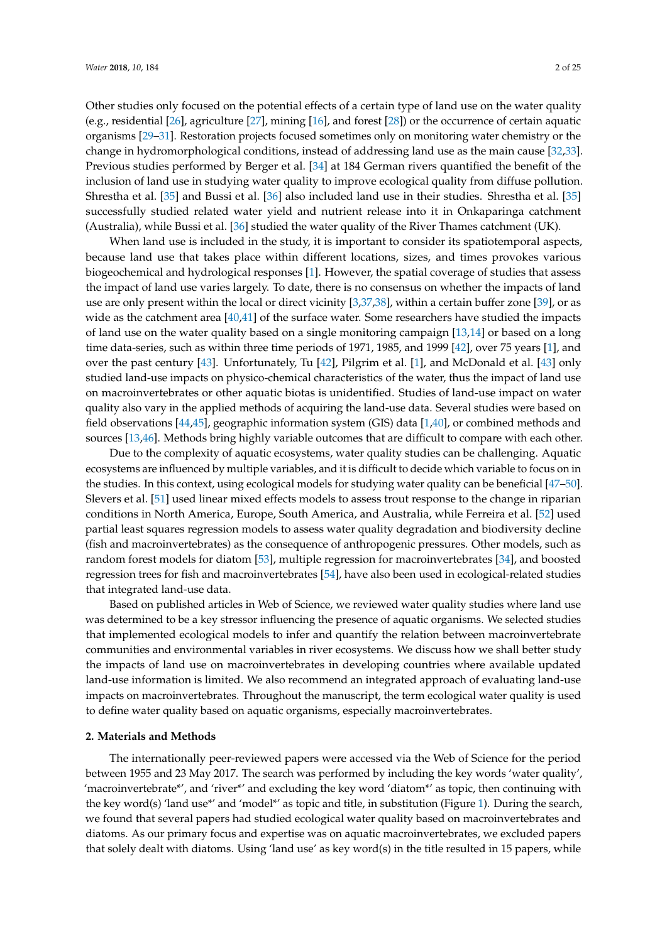Other studies only focused on the potential effects of a certain type of land use on the water quality (e.g., residential [\[26\]](#page-19-2), agriculture [\[27\]](#page-19-3), mining [\[16\]](#page-18-11), and forest [\[28\]](#page-19-4)) or the occurrence of certain aquatic organisms [\[29](#page-19-5)[–31\]](#page-19-6). Restoration projects focused sometimes only on monitoring water chemistry or the change in hydromorphological conditions, instead of addressing land use as the main cause [\[32,](#page-19-7)[33\]](#page-19-8). Previous studies performed by Berger et al. [\[34\]](#page-19-9) at 184 German rivers quantified the benefit of the inclusion of land use in studying water quality to improve ecological quality from diffuse pollution. Shrestha et al. [\[35\]](#page-19-10) and Bussi et al. [\[36\]](#page-19-11) also included land use in their studies. Shrestha et al. [\[35\]](#page-19-10) successfully studied related water yield and nutrient release into it in Onkaparinga catchment (Australia), while Bussi et al. [\[36\]](#page-19-11) studied the water quality of the River Thames catchment (UK).

When land use is included in the study, it is important to consider its spatiotemporal aspects, because land use that takes place within different locations, sizes, and times provokes various biogeochemical and hydrological responses [\[1\]](#page-17-0). However, the spatial coverage of studies that assess the impact of land use varies largely. To date, there is no consensus on whether the impacts of land use are only present within the local or direct vicinity [\[3](#page-17-2)[,37](#page-19-12)[,38\]](#page-19-13), within a certain buffer zone [\[39\]](#page-19-14), or as wide as the catchment area [\[40,](#page-19-15)[41\]](#page-19-16) of the surface water. Some researchers have studied the impacts of land use on the water quality based on a single monitoring campaign [\[13,](#page-18-8)[14\]](#page-18-9) or based on a long time data-series, such as within three time periods of 1971, 1985, and 1999 [\[42\]](#page-19-17), over 75 years [\[1\]](#page-17-0), and over the past century [\[43\]](#page-19-18). Unfortunately, Tu [\[42\]](#page-19-17), Pilgrim et al. [\[1\]](#page-17-0), and McDonald et al. [\[43\]](#page-19-18) only studied land-use impacts on physico-chemical characteristics of the water, thus the impact of land use on macroinvertebrates or other aquatic biotas is unidentified. Studies of land-use impact on water quality also vary in the applied methods of acquiring the land-use data. Several studies were based on field observations [\[44,](#page-20-0)[45\]](#page-20-1), geographic information system (GIS) data [\[1,](#page-17-0)[40\]](#page-19-15), or combined methods and sources [\[13](#page-18-8)[,46\]](#page-20-2). Methods bring highly variable outcomes that are difficult to compare with each other.

Due to the complexity of aquatic ecosystems, water quality studies can be challenging. Aquatic ecosystems are influenced by multiple variables, and it is difficult to decide which variable to focus on in the studies. In this context, using ecological models for studying water quality can be beneficial [\[47–](#page-20-3)[50\]](#page-20-4). Slevers et al. [\[51\]](#page-20-5) used linear mixed effects models to assess trout response to the change in riparian conditions in North America, Europe, South America, and Australia, while Ferreira et al. [\[52\]](#page-20-6) used partial least squares regression models to assess water quality degradation and biodiversity decline (fish and macroinvertebrates) as the consequence of anthropogenic pressures. Other models, such as random forest models for diatom [\[53\]](#page-20-7), multiple regression for macroinvertebrates [\[34\]](#page-19-9), and boosted regression trees for fish and macroinvertebrates [\[54\]](#page-20-8), have also been used in ecological-related studies that integrated land-use data.

Based on published articles in Web of Science, we reviewed water quality studies where land use was determined to be a key stressor influencing the presence of aquatic organisms. We selected studies that implemented ecological models to infer and quantify the relation between macroinvertebrate communities and environmental variables in river ecosystems. We discuss how we shall better study the impacts of land use on macroinvertebrates in developing countries where available updated land-use information is limited. We also recommend an integrated approach of evaluating land-use impacts on macroinvertebrates. Throughout the manuscript, the term ecological water quality is used to define water quality based on aquatic organisms, especially macroinvertebrates.

#### **2. Materials and Methods**

The internationally peer-reviewed papers were accessed via the Web of Science for the period between 1955 and 23 May 2017. The search was performed by including the key words 'water quality', 'macroinvertebrate\*', and 'river\*' and excluding the key word 'diatom\*' as topic, then continuing with the key word(s) 'land use\*' and 'model\*' as topic and title, in substitution (Figure [1\)](#page-2-0). During the search, we found that several papers had studied ecological water quality based on macroinvertebrates and diatoms. As our primary focus and expertise was on aquatic macroinvertebrates, we excluded papers that solely dealt with diatoms. Using 'land use' as key word(s) in the title resulted in 15 papers, while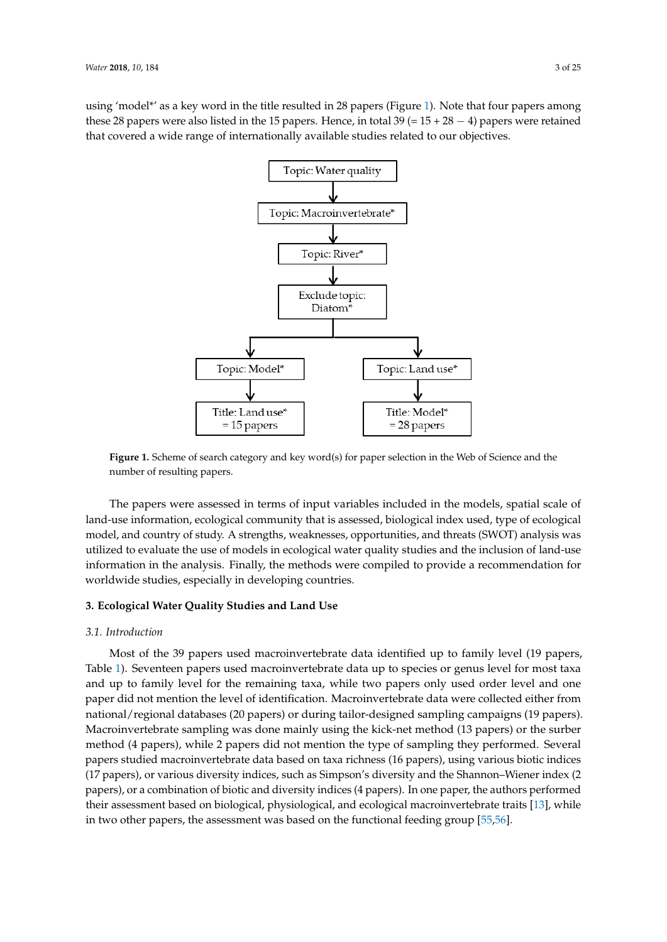<span id="page-2-0"></span>using 'model\*' as a key word in the title resulted in 28 papers (Figure [1\)](#page-2-0). Note that four papers among these 28 papers were also listed in the 15 papers. Hence, in total 39 (=  $15 + 28 - 4$ ) papers were retained that covered a wide range of internationally available studies related to our objectives.



**Figure 1.** Scheme of search category and key word(s) for paper selection in the Web of Science and **Figure 1.** Scheme of search category and key word(s) for paper selection in the Web of Science and the number of resulting papers.

The papers were assessed in terms of input variables included in the models, spatial scale of The papers were assessed in terms of input variables included in the models, spatial scale of land-use information, ecological community that is assessed, biological index used, type of ecological index threats (SWOT) and the contract of the contract of the contract of the contract of the contract of the contract o model, and country of study. A strengths, weaknesses, opportunities, and threats (SWOT) analysis was was utilized to evaluate the use of models in ecological water quality studies and the inclusion of land-use vertical to provide a set of models in exception of land-use information in the analysis. Finally, the methods were compiled to provide a recommendation for worldwide studies, especially in developing countries.

# **3. Ecological Water Quality Studies and Land Use 3. Ecological Water Quality Studies and Land Use**

# *3.1. Introduction 3.1. Introduction*

Most of the 39 papers used macroinvertebrate data identified up to family level (19 papers, Table [1\)](#page-3-0). Seventeen papers used macroinvertebrate data up to species or genus level for most taxa and up to family level for the remaining taxa, while two papers only used order level and one paper did not mention the level of identification. Macroinvertebrate data were collected either from .<br>national/regional databases (20 papers) or during tailor-designed sampling campaigns (19 papers). Macroinvertebrate sampling was done mainly using the kick-net method (13 papers) or the surber method (4 papers), while 2 papers did not mention the type of sampling they performed. Several papers studied macroinvertebrate data based on taxa richness (16 papers), using various biotic indices .<br>(17 papers), or various diversity indices, such as Simpson's diversity and the Shannon–Wiener index (2 papers), or a combination of biotic and diversity indices (4 papers). In one paper, the authors performed their assessment based on biological, physiological, and ecological macroinvertebrate traits [\[13\]](#page-18-8), while in two other papers, the assessment was based on the functional feeding group [\[55](#page-20-9)[,56\]](#page-20-10).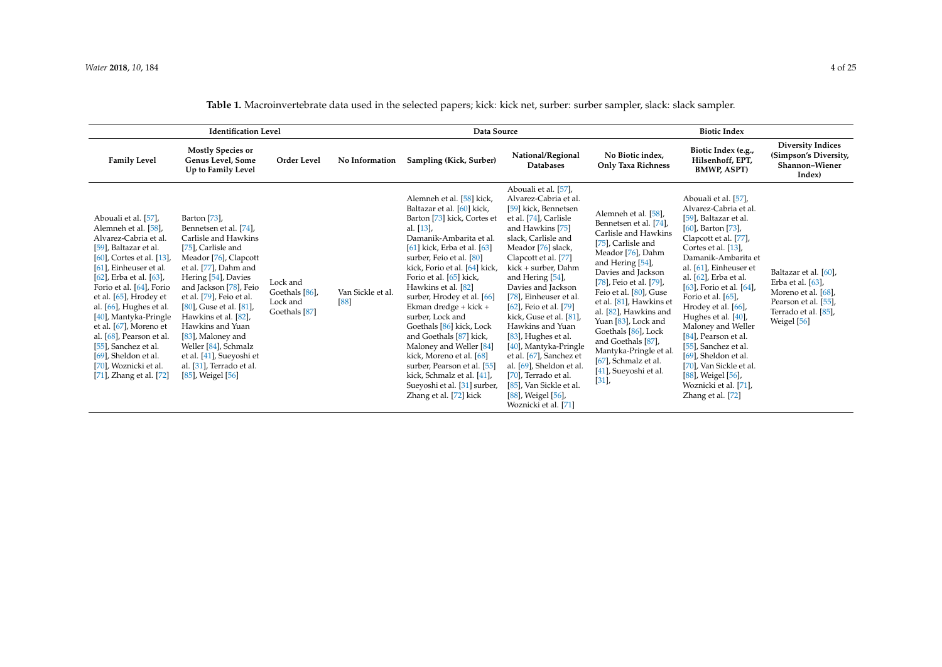**Table 1.** Macroinvertebrate data used in the selected papers; kick: kick net, surber: surber sampler, slack: slack sampler.

<span id="page-3-0"></span>

| <b>Identification Level</b>                                                                                                                                                                                                                                                                                                                                                                                                                                         |                                                                                                                                                                                                                                                                                                                                                                                                                      |                                                                    | Data Source             |                                                                                                                                                                                                                                                                                                                                                                                                                                                                                                                                                                                                 |                                                                                                                                                                                                                                                                                                                                                                                                                                                                                                                                                                          | <b>Biotic Index</b>                                                                                                                                                                                                                                                                                                                                                                                                         |                                                                                                                                                                                                                                                                                                                                                                                                                                                                                                                                       |                                                                                                                                     |
|---------------------------------------------------------------------------------------------------------------------------------------------------------------------------------------------------------------------------------------------------------------------------------------------------------------------------------------------------------------------------------------------------------------------------------------------------------------------|----------------------------------------------------------------------------------------------------------------------------------------------------------------------------------------------------------------------------------------------------------------------------------------------------------------------------------------------------------------------------------------------------------------------|--------------------------------------------------------------------|-------------------------|-------------------------------------------------------------------------------------------------------------------------------------------------------------------------------------------------------------------------------------------------------------------------------------------------------------------------------------------------------------------------------------------------------------------------------------------------------------------------------------------------------------------------------------------------------------------------------------------------|--------------------------------------------------------------------------------------------------------------------------------------------------------------------------------------------------------------------------------------------------------------------------------------------------------------------------------------------------------------------------------------------------------------------------------------------------------------------------------------------------------------------------------------------------------------------------|-----------------------------------------------------------------------------------------------------------------------------------------------------------------------------------------------------------------------------------------------------------------------------------------------------------------------------------------------------------------------------------------------------------------------------|---------------------------------------------------------------------------------------------------------------------------------------------------------------------------------------------------------------------------------------------------------------------------------------------------------------------------------------------------------------------------------------------------------------------------------------------------------------------------------------------------------------------------------------|-------------------------------------------------------------------------------------------------------------------------------------|
| <b>Family Level</b>                                                                                                                                                                                                                                                                                                                                                                                                                                                 | <b>Mostly Species or</b><br>Genus Level, Some<br>Up to Family Level                                                                                                                                                                                                                                                                                                                                                  | Order Level                                                        | No Information          | Sampling (Kick, Surber)                                                                                                                                                                                                                                                                                                                                                                                                                                                                                                                                                                         | National/Regional<br><b>Databases</b>                                                                                                                                                                                                                                                                                                                                                                                                                                                                                                                                    | No Biotic index,<br><b>Only Taxa Richness</b>                                                                                                                                                                                                                                                                                                                                                                               | Biotic Index (e.g.,<br>Hilsenhoff, EPT,<br><b>BMWP, ASPT)</b>                                                                                                                                                                                                                                                                                                                                                                                                                                                                         | <b>Diversity Indices</b><br>(Simpson's Diversity,<br>Shannon-Wiener<br>Index)                                                       |
| Abouali et al. [57],<br>Alemneh et al. [58],<br>Alvarez-Cabria et al.<br>[59], Baltazar et al.<br>$[60]$ , Cortes et al. $[13]$ ,<br>[61], Einheuser et al.<br>$[62]$ , Erba et al. $[63]$ ,<br>Forio et al. [64], Forio<br>et al. [65], Hrodey et<br>al. [66], Hughes et al.<br>[40], Mantyka-Pringle<br>et al. [67], Moreno et<br>al. [68], Pearson et al.<br>[55], Sanchez et al.<br>$[69]$ , Sheldon et al.<br>[70], Woznicki et al.<br>[71], Zhang et al. [72] | Barton [73],<br>Bennetsen et al. [74],<br>Carlisle and Hawkins<br>[75], Carlisle and<br>Meador [76], Clapcott<br>et al. [77], Dahm and<br>Hering [54], Davies<br>and Jackson [78], Feio<br>et al. [79], Feio et al.<br>[80], Guse et al. [81],<br>Hawkins et al. [82].<br>Hawkins and Yuan<br>[83], Maloney and<br>Weller [84], Schmalz<br>et al. [41], Sueyoshi et<br>al. [31], Terrado et al.<br>[85], Weigel [56] | Lock and<br>Goethals [86],<br>Lock and<br>Goethals <sup>[87]</sup> | Van Sickle et al.<br>88 | Alemneh et al. [58] kick,<br>Baltazar et al. [60] kick,<br>Barton [73] kick, Cortes et<br>al. $[13]$ ,<br>Damanik-Ambarita et al.<br>[61] kick, Erba et al. [63]<br>surber, Feio et al. [80]<br>kick, Forio et al. [64] kick,<br>Forio et al. [65] kick,<br>Hawkins et al. [82]<br>surber, Hrodey et al. [66]<br>Ekman dredge + kick +<br>surber, Lock and<br>Goethals [86] kick, Lock<br>and Goethals [87] kick,<br>Maloney and Weller [84]<br>kick, Moreno et al. [68]<br>surber, Pearson et al. [55]<br>kick, Schmalz et al. [41],<br>Sueyoshi et al. [31] surber,<br>Zhang et al. [72] kick | Abouali et al. [57],<br>Alvarez-Cabria et al.<br>[59] kick, Bennetsen<br>et al. [74], Carlisle<br>and Hawkins [75]<br>slack, Carlisle and<br>Meador [76] slack,<br>Clapcott et al. [77]<br>kick + surber, Dahm<br>and Hering [54],<br>Davies and Jackson<br>[78], Einheuser et al.<br>$[62]$ , Feio et al. $[79]$<br>kick, Guse et al. [81],<br>Hawkins and Yuan<br>[83], Hughes et al.<br>[40], Mantyka-Pringle<br>et al. [67], Sanchez et<br>al. [69], Sheldon et al.<br>[70], Terrado et al.<br>[85], Van Sickle et al.<br>[88], Weigel [56],<br>Woznicki et al. [71] | Alemneh et al. [58],<br>Bennetsen et al. [74],<br>Carlisle and Hawkins<br>[75], Carlisle and<br>Meador [76], Dahm<br>and Hering [54],<br>Davies and Jackson<br>[78], Feio et al. [79],<br>Feio et al. [80], Guse<br>et al. [81], Hawkins et<br>al. [82], Hawkins and<br>Yuan [83], Lock and<br>Goethals [86], Lock<br>and Goethals [87],<br>Mantyka-Pringle et al.<br>[67], Schmalz et al.<br>[41], Sueyoshi et al.<br>[31] | Abouali et al. [57].<br>Alvarez-Cabria et al.<br>[59], Baltazar et al.<br>$[60]$ , Barton $[73]$ ,<br>Clapcott et al. [77],<br>Cortes et al. [13],<br>Damanik-Ambarita et<br>al. [61], Einheuser et<br>al. [62], Erba et al.<br>$[63]$ , Forio et al. $[64]$ ,<br>Forio et al. $[65]$ ,<br>Hrodey et al. [66],<br>Hughes et al. [40],<br>Maloney and Weller<br>[84], Pearson et al.<br>[55], Sanchez et al.<br>$[69]$ , Sheldon et al.<br>[70], Van Sickle et al.<br>[88], Weigel [56],<br>Woznicki et al. [71],<br>Zhang et al. [72] | Baltazar et al. [60],<br>Erba et al. $[63]$ ,<br>Moreno et al. [68],<br>Pearson et al. [55],<br>Terrado et al. [85],<br>Weigel [56] |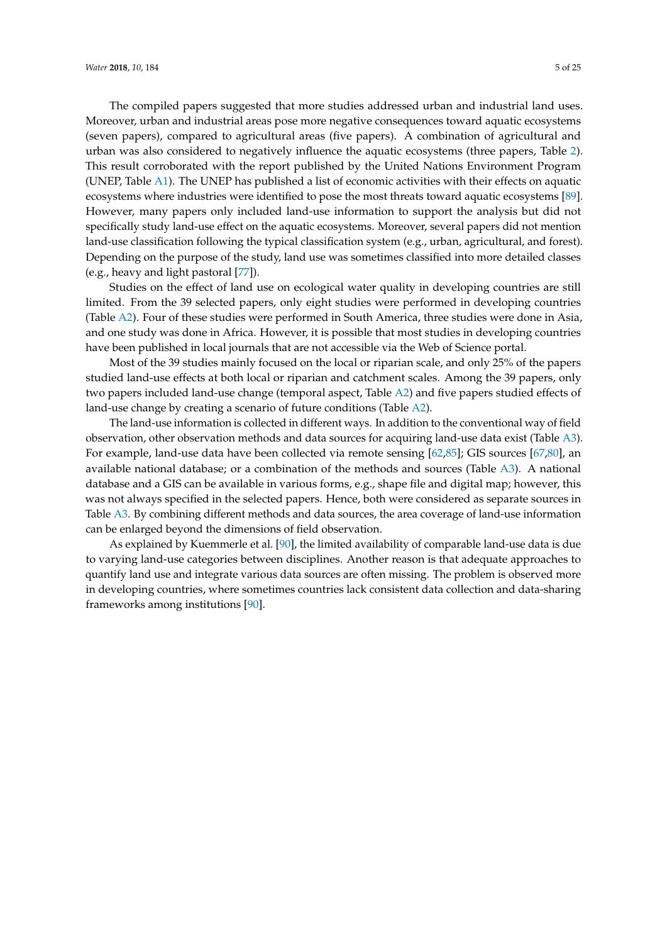The compiled papers suggested that more studies addressed urban and industrial land uses. Moreover, urban and industrial areas pose more negative consequences toward aquatic ecosystems (seven papers), compared to agricultural areas (five papers). A combination of agricultural and urban was also considered to negatively influence the aquatic ecosystems (three papers, Table [2\)](#page-5-0). This result corroborated with the report published by the United Nations Environment Program (UNEP, Table [A1\)](#page-17-4). The UNEP has published a list of economic activities with their effects on aquatic ecosystems where industries were identified to pose the most threats toward aquatic ecosystems [\[89\]](#page-22-5). However, many papers only included land-use information to support the analysis but did not specifically study land-use effect on the aquatic ecosystems. Moreover, several papers did not mention land-use classification following the typical classification system (e.g., urban, agricultural, and forest). Depending on the purpose of the study, land use was sometimes classified into more detailed classes (e.g., heavy and light pastoral [\[77\]](#page-21-21)).

Studies on the effect of land use on ecological water quality in developing countries are still limited. From the 39 selected papers, only eight studies were performed in developing countries (Table [A2\)](#page-17-5). Four of these studies were performed in South America, three studies were done in Asia, and one study was done in Africa. However, it is possible that most studies in developing countries have been published in local journals that are not accessible via the Web of Science portal.

Most of the 39 studies mainly focused on the local or riparian scale, and only 25% of the papers studied land-use effects at both local or riparian and catchment scales. Among the 39 papers, only two papers included land-use change (temporal aspect, Table [A2\)](#page-17-5) and five papers studied effects of land-use change by creating a scenario of future conditions (Table [A2\)](#page-17-5).

The land-use information is collected in different ways. In addition to the conventional way of field observation, other observation methods and data sources for acquiring land-use data exist (Table [A3\)](#page-17-6). For example, land-use data have been collected via remote sensing [\[62](#page-20-19)[,85\]](#page-22-6); GIS sources [\[67](#page-21-22)[,80\]](#page-21-23), an available national database; or a combination of the methods and sources (Table [A3\)](#page-17-6). A national database and a GIS can be available in various forms, e.g., shape file and digital map; however, this was not always specified in the selected papers. Hence, both were considered as separate sources in Table [A3.](#page-17-6) By combining different methods and data sources, the area coverage of land-use information can be enlarged beyond the dimensions of field observation.

As explained by Kuemmerle et al. [\[90\]](#page-22-7), the limited availability of comparable land-use data is due to varying land-use categories between disciplines. Another reason is that adequate approaches to quantify land use and integrate various data sources are often missing. The problem is observed more in developing countries, where sometimes countries lack consistent data collection and data-sharing frameworks among institutions [\[90\]](#page-22-7).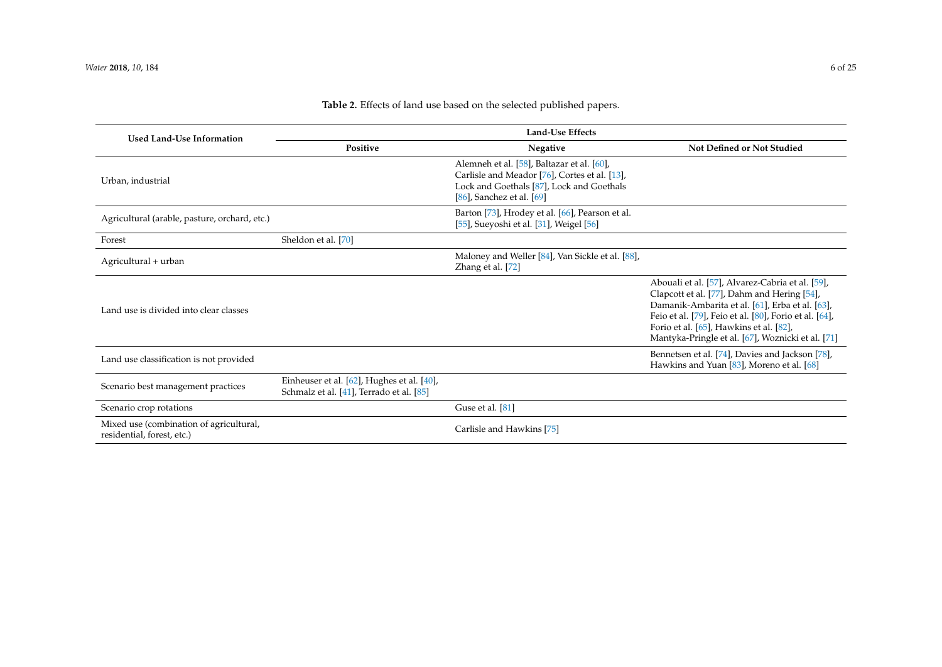<span id="page-5-0"></span>

| <b>Used Land-Use Information</b>                                      | <b>Land-Use Effects</b>                                                                |                                                                                                                                                                            |                                                                                                                                                                                                                                                                                                              |  |  |
|-----------------------------------------------------------------------|----------------------------------------------------------------------------------------|----------------------------------------------------------------------------------------------------------------------------------------------------------------------------|--------------------------------------------------------------------------------------------------------------------------------------------------------------------------------------------------------------------------------------------------------------------------------------------------------------|--|--|
|                                                                       | Positive                                                                               | <b>Not Defined or Not Studied</b>                                                                                                                                          |                                                                                                                                                                                                                                                                                                              |  |  |
| Urban, industrial                                                     |                                                                                        | Alemneh et al. [58], Baltazar et al. [60],<br>Carlisle and Meador [76], Cortes et al. [13],<br>Lock and Goethals [87], Lock and Goethals<br>$[86]$ , Sanchez et al. $[69]$ |                                                                                                                                                                                                                                                                                                              |  |  |
| Agricultural (arable, pasture, orchard, etc.)                         |                                                                                        | Barton [73], Hrodey et al. [66], Pearson et al.<br>[55], Sueyoshi et al. [31], Weigel [56]                                                                                 |                                                                                                                                                                                                                                                                                                              |  |  |
| Forest                                                                | Sheldon et al. [70]                                                                    |                                                                                                                                                                            |                                                                                                                                                                                                                                                                                                              |  |  |
| Agricultural + urban                                                  |                                                                                        | Maloney and Weller [84], Van Sickle et al. [88],<br>Zhang et al. [72]                                                                                                      |                                                                                                                                                                                                                                                                                                              |  |  |
| Land use is divided into clear classes                                |                                                                                        |                                                                                                                                                                            | Abouali et al. [57], Alvarez-Cabria et al. [59],<br>Clapcott et al. [77], Dahm and Hering [54],<br>Damanik-Ambarita et al. [61], Erba et al. [63],<br>Feio et al. [79], Feio et al. [80], Forio et al. [64],<br>Forio et al. [65], Hawkins et al. [82],<br>Mantyka-Pringle et al. [67], Woznicki et al. [71] |  |  |
| Land use classification is not provided                               |                                                                                        |                                                                                                                                                                            | Bennetsen et al. [74], Davies and Jackson [78],<br>Hawkins and Yuan [83], Moreno et al. [68]                                                                                                                                                                                                                 |  |  |
| Scenario best management practices                                    | Einheuser et al. [62], Hughes et al. [40],<br>Schmalz et al. [41], Terrado et al. [85] |                                                                                                                                                                            |                                                                                                                                                                                                                                                                                                              |  |  |
| Scenario crop rotations                                               |                                                                                        | Guse et al. [81]                                                                                                                                                           |                                                                                                                                                                                                                                                                                                              |  |  |
| Mixed use (combination of agricultural,<br>residential, forest, etc.) |                                                                                        | Carlisle and Hawkins [75]                                                                                                                                                  |                                                                                                                                                                                                                                                                                                              |  |  |

## **Table 2.** Effects of land use based on the selected published papers.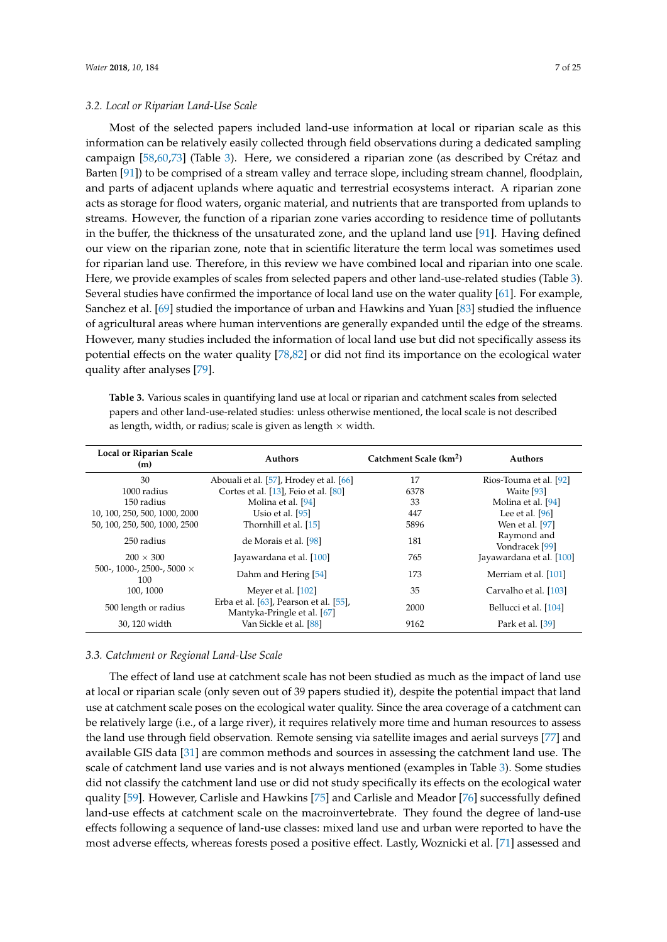#### *3.2. Local or Riparian Land-Use Scale*

Most of the selected papers included land-use information at local or riparian scale as this information can be relatively easily collected through field observations during a dedicated sampling campaign [\[58](#page-20-20)[,60](#page-20-21)[,73\]](#page-21-24) (Table [3\)](#page-6-0). Here, we considered a riparian zone (as described by Crétaz and Barten [\[91\]](#page-22-8)) to be comprised of a stream valley and terrace slope, including stream channel, floodplain, and parts of adjacent uplands where aquatic and terrestrial ecosystems interact. A riparian zone acts as storage for flood waters, organic material, and nutrients that are transported from uplands to streams. However, the function of a riparian zone varies according to residence time of pollutants in the buffer, the thickness of the unsaturated zone, and the upland land use [\[91\]](#page-22-8). Having defined our view on the riparian zone, note that in scientific literature the term local was sometimes used for riparian land use. Therefore, in this review we have combined local and riparian into one scale. Here, we provide examples of scales from selected papers and other land-use-related studies (Table [3\)](#page-6-0). Several studies have confirmed the importance of local land use on the water quality [\[61\]](#page-20-22). For example, Sanchez et al. [\[69\]](#page-21-25) studied the importance of urban and Hawkins and Yuan [\[83\]](#page-21-26) studied the influence of agricultural areas where human interventions are generally expanded until the edge of the streams. However, many studies included the information of local land use but did not specifically assess its potential effects on the water quality [\[78](#page-21-27)[,82\]](#page-21-28) or did not find its importance on the ecological water quality after analyses [\[79\]](#page-21-29).

<span id="page-6-0"></span>**Table 3.** Various scales in quantifying land use at local or riparian and catchment scales from selected papers and other land-use-related studies: unless otherwise mentioned, the local scale is not described as length, width, or radius; scale is given as length  $\times$  width.

| Local or Riparian Scale<br>(m)           | <b>Authors</b>                                                        | Catchment Scale (km <sup>2</sup> ) | <b>Authors</b>                |
|------------------------------------------|-----------------------------------------------------------------------|------------------------------------|-------------------------------|
| 30                                       | Abouali et al. [57], Hrodey et al. [66]                               | 17                                 | Rios-Touma et al. [92]        |
| 1000 radius                              | Cortes et al. [13], Feio et al. [80]                                  | 6378                               | Waite [93]                    |
| 150 radius                               | Molina et al. [94]                                                    | 33                                 | Molina et al. [94]            |
| 10, 100, 250, 500, 1000, 2000            | Usio et al. [95]                                                      | 447                                | Lee et al. $[96]$             |
| 50, 100, 250, 500, 1000, 2500            | Thornhill et al. [15]                                                 | 5896                               | Wen et al. [97]               |
| 250 radius                               | de Morais et al. [98]                                                 | 181                                | Raymond and<br>Vondracek [99] |
| $200 \times 300$                         | Jayawardana et al. [100]                                              | 765                                | Jayawardana et al. [100]      |
| 500-, 1000-, 2500-, 5000 $\times$<br>100 | Dahm and Hering [54]                                                  | 173                                | Merriam et al. [101]          |
| 100, 1000                                | Meyer et al. $[102]$                                                  | 35                                 | Carvalho et al. [103]         |
| 500 length or radius                     | Erba et al. [63], Pearson et al. [55],<br>Mantyka-Pringle et al. [67] | 2000                               | Bellucci et al. [104]         |
| 30, 120 width                            | Van Sickle et al. [88]                                                | 9162                               | Park et al. [39]              |

#### *3.3. Catchment or Regional Land-Use Scale*

The effect of land use at catchment scale has not been studied as much as the impact of land use at local or riparian scale (only seven out of 39 papers studied it), despite the potential impact that land use at catchment scale poses on the ecological water quality. Since the area coverage of a catchment can be relatively large (i.e., of a large river), it requires relatively more time and human resources to assess the land use through field observation. Remote sensing via satellite images and aerial surveys [\[77\]](#page-21-21) and available GIS data [\[31\]](#page-19-6) are common methods and sources in assessing the catchment land use. The scale of catchment land use varies and is not always mentioned (examples in Table [3\)](#page-6-0). Some studies did not classify the catchment land use or did not study specifically its effects on the ecological water quality [\[59\]](#page-20-24). However, Carlisle and Hawkins [\[75\]](#page-21-31) and Carlisle and Meador [\[76\]](#page-21-32) successfully defined land-use effects at catchment scale on the macroinvertebrate. They found the degree of land-use effects following a sequence of land-use classes: mixed land use and urban were reported to have the most adverse effects, whereas forests posed a positive effect. Lastly, Woznicki et al. [\[71\]](#page-21-33) assessed and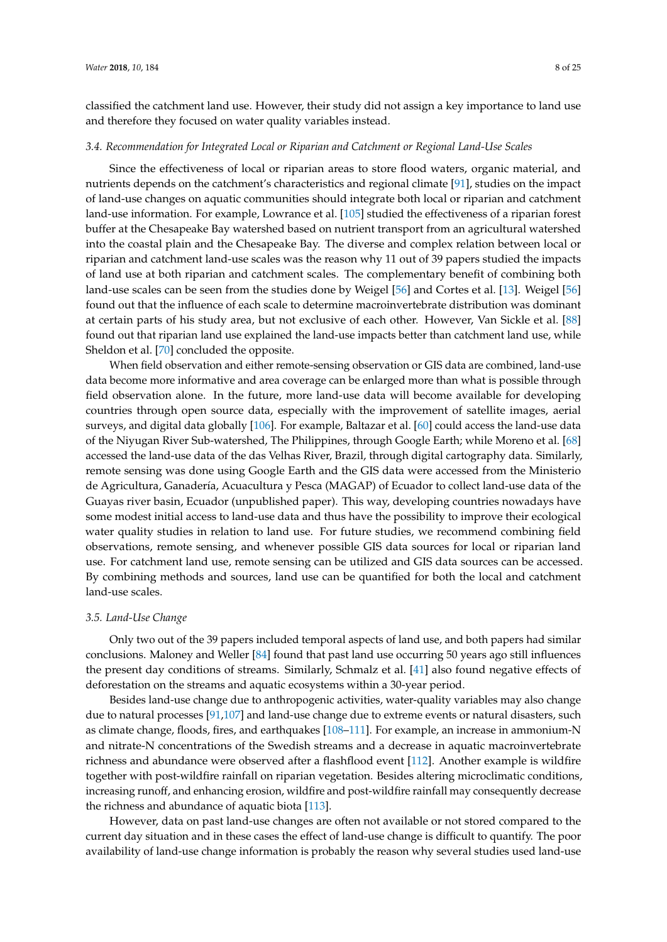classified the catchment land use. However, their study did not assign a key importance to land use and therefore they focused on water quality variables instead.

#### *3.4. Recommendation for Integrated Local or Riparian and Catchment or Regional Land-Use Scales*

Since the effectiveness of local or riparian areas to store flood waters, organic material, and nutrients depends on the catchment's characteristics and regional climate [\[91\]](#page-22-8), studies on the impact of land-use changes on aquatic communities should integrate both local or riparian and catchment land-use information. For example, Lowrance et al. [\[105\]](#page-23-0) studied the effectiveness of a riparian forest buffer at the Chesapeake Bay watershed based on nutrient transport from an agricultural watershed into the coastal plain and the Chesapeake Bay. The diverse and complex relation between local or riparian and catchment land-use scales was the reason why 11 out of 39 papers studied the impacts of land use at both riparian and catchment scales. The complementary benefit of combining both land-use scales can be seen from the studies done by Weigel [\[56\]](#page-20-10) and Cortes et al. [\[13\]](#page-18-8). Weigel [\[56\]](#page-20-10) found out that the influence of each scale to determine macroinvertebrate distribution was dominant at certain parts of his study area, but not exclusive of each other. However, Van Sickle et al. [\[88\]](#page-22-22) found out that riparian land use explained the land-use impacts better than catchment land use, while Sheldon et al. [\[70\]](#page-21-34) concluded the opposite.

When field observation and either remote-sensing observation or GIS data are combined, land-use data become more informative and area coverage can be enlarged more than what is possible through field observation alone. In the future, more land-use data will become available for developing countries through open source data, especially with the improvement of satellite images, aerial surveys, and digital data globally [\[106\]](#page-23-1). For example, Baltazar et al. [\[60\]](#page-20-21) could access the land-use data of the Niyugan River Sub-watershed, The Philippines, through Google Earth; while Moreno et al. [\[68\]](#page-21-35) accessed the land-use data of the das Velhas River, Brazil, through digital cartography data. Similarly, remote sensing was done using Google Earth and the GIS data were accessed from the Ministerio de Agricultura, Ganadería, Acuacultura y Pesca (MAGAP) of Ecuador to collect land-use data of the Guayas river basin, Ecuador (unpublished paper). This way, developing countries nowadays have some modest initial access to land-use data and thus have the possibility to improve their ecological water quality studies in relation to land use. For future studies, we recommend combining field observations, remote sensing, and whenever possible GIS data sources for local or riparian land use. For catchment land use, remote sensing can be utilized and GIS data sources can be accessed. By combining methods and sources, land use can be quantified for both the local and catchment land-use scales.

#### *3.5. Land-Use Change*

Only two out of the 39 papers included temporal aspects of land use, and both papers had similar conclusions. Maloney and Weller [\[84\]](#page-22-23) found that past land use occurring 50 years ago still influences the present day conditions of streams. Similarly, Schmalz et al. [\[41\]](#page-19-16) also found negative effects of deforestation on the streams and aquatic ecosystems within a 30-year period.

Besides land-use change due to anthropogenic activities, water-quality variables may also change due to natural processes [\[91,](#page-22-8)[107\]](#page-23-2) and land-use change due to extreme events or natural disasters, such as climate change, floods, fires, and earthquakes [\[108–](#page-23-3)[111\]](#page-23-4). For example, an increase in ammonium-N and nitrate-N concentrations of the Swedish streams and a decrease in aquatic macroinvertebrate richness and abundance were observed after a flashflood event [\[112\]](#page-23-5). Another example is wildfire together with post-wildfire rainfall on riparian vegetation. Besides altering microclimatic conditions, increasing runoff, and enhancing erosion, wildfire and post-wildfire rainfall may consequently decrease the richness and abundance of aquatic biota [\[113\]](#page-23-6).

However, data on past land-use changes are often not available or not stored compared to the current day situation and in these cases the effect of land-use change is difficult to quantify. The poor availability of land-use change information is probably the reason why several studies used land-use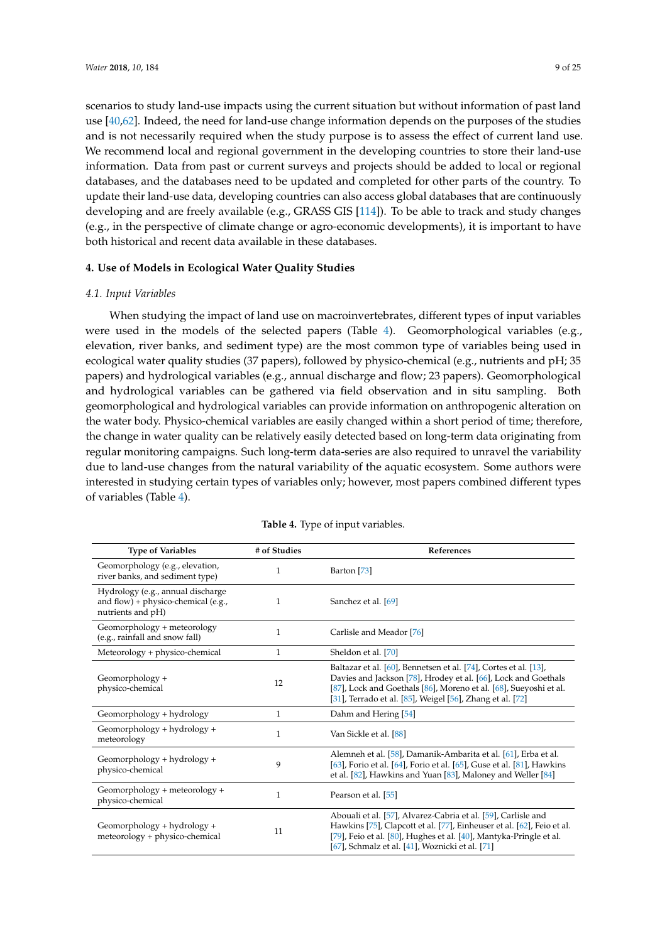scenarios to study land-use impacts using the current situation but without information of past land use [\[40,](#page-19-15)[62\]](#page-20-19). Indeed, the need for land-use change information depends on the purposes of the studies and is not necessarily required when the study purpose is to assess the effect of current land use. We recommend local and regional government in the developing countries to store their land-use information. Data from past or current surveys and projects should be added to local or regional databases, and the databases need to be updated and completed for other parts of the country. To update their land-use data, developing countries can also access global databases that are continuously developing and are freely available (e.g., GRASS GIS [\[114\]](#page-23-7)). To be able to track and study changes (e.g., in the perspective of climate change or agro-economic developments), it is important to have both historical and recent data available in these databases.

## **4. Use of Models in Ecological Water Quality Studies**

### *4.1. Input Variables*

When studying the impact of land use on macroinvertebrates, different types of input variables were used in the models of the selected papers (Table [4\)](#page-8-0). Geomorphological variables (e.g., elevation, river banks, and sediment type) are the most common type of variables being used in ecological water quality studies (37 papers), followed by physico-chemical (e.g., nutrients and pH; 35 papers) and hydrological variables (e.g., annual discharge and flow; 23 papers). Geomorphological and hydrological variables can be gathered via field observation and in situ sampling. Both geomorphological and hydrological variables can provide information on anthropogenic alteration on the water body. Physico-chemical variables are easily changed within a short period of time; therefore, the change in water quality can be relatively easily detected based on long-term data originating from regular monitoring campaigns. Such long-term data-series are also required to unravel the variability due to land-use changes from the natural variability of the aquatic ecosystem. Some authors were interested in studying certain types of variables only; however, most papers combined different types of variables (Table [4\)](#page-8-0).

<span id="page-8-0"></span>

| <b>Type of Variables</b>                                                                      | # of Studies | References                                                                                                                                                                                                                                                           |
|-----------------------------------------------------------------------------------------------|--------------|----------------------------------------------------------------------------------------------------------------------------------------------------------------------------------------------------------------------------------------------------------------------|
| Geomorphology (e.g., elevation,<br>river banks, and sediment type)                            | 1            | Barton [73]                                                                                                                                                                                                                                                          |
| Hydrology (e.g., annual discharge<br>and flow) + physico-chemical (e.g.,<br>nutrients and pH) | 1            | Sanchez et al. [69]                                                                                                                                                                                                                                                  |
| Geomorphology + meteorology<br>(e.g., rainfall and snow fall)                                 | 1            | Carlisle and Meador [76]                                                                                                                                                                                                                                             |
| Meteorology + physico-chemical                                                                | 1            | Sheldon et al. [70]                                                                                                                                                                                                                                                  |
| Geomorphology +<br>physico-chemical                                                           | 12           | Baltazar et al. [60], Bennetsen et al. [74], Cortes et al. [13],<br>Davies and Jackson [78], Hrodey et al. [66], Lock and Goethals<br>[87], Lock and Goethals [86], Moreno et al. [68], Sueyoshi et al.<br>[31], Terrado et al. [85], Weigel [56], Zhang et al. [72] |
| Geomorphology + hydrology                                                                     | $\mathbf{1}$ | Dahm and Hering [54]                                                                                                                                                                                                                                                 |
| Geomorphology + hydrology +<br>meteorology                                                    | 1            | Van Sickle et al. [88]                                                                                                                                                                                                                                               |
| Geomorphology + hydrology +<br>physico-chemical                                               | 9            | Alemneh et al. [58], Damanik-Ambarita et al. [61], Erba et al.<br>[63], Forio et al. [64], Forio et al. [65], Guse et al. [81], Hawkins<br>et al. [82], Hawkins and Yuan [83], Maloney and Weller [84]                                                               |
| Geomorphology + meteorology +<br>physico-chemical                                             | 1            | Pearson et al. [55]                                                                                                                                                                                                                                                  |
| Geomorphology + hydrology +<br>meteorology + physico-chemical                                 | 11           | Abouali et al. [57], Alvarez-Cabria et al. [59], Carlisle and<br>Hawkins [75], Clapcott et al. [77], Einheuser et al. [62], Feio et al.<br>[79], Feio et al. [80], Hughes et al. [40], Mantyka-Pringle et al.<br>[67], Schmalz et al. [41], Woznicki et al. [71]     |

|  | Table 4. Type of input variables. |
|--|-----------------------------------|
|  |                                   |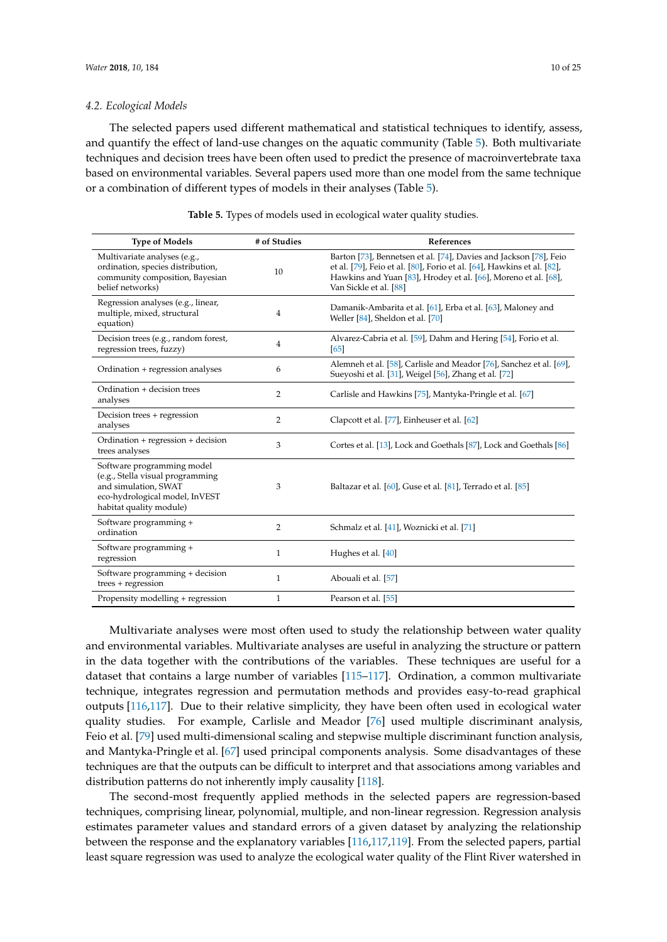#### *4.2. Ecological Models*

The selected papers used different mathematical and statistical techniques to identify, assess, and quantify the effect of land-use changes on the aquatic community (Table [5\)](#page-9-0). Both multivariate techniques and decision trees have been often used to predict the presence of macroinvertebrate taxa based on environmental variables. Several papers used more than one model from the same technique or a combination of different types of models in their analyses (Table [5\)](#page-9-0).

<span id="page-9-0"></span>

| <b>Type of Models</b>                                                                                                                               | # of Studies     | References                                                                                                                                                                                                                              |
|-----------------------------------------------------------------------------------------------------------------------------------------------------|------------------|-----------------------------------------------------------------------------------------------------------------------------------------------------------------------------------------------------------------------------------------|
| Multivariate analyses (e.g.,<br>ordination, species distribution,<br>community composition, Bayesian<br>belief networks)                            | 10 <sup>10</sup> | Barton [73], Bennetsen et al. [74], Davies and Jackson [78], Feio<br>et al. [79], Feio et al. [80], Forio et al. [64], Hawkins et al. [82],<br>Hawkins and Yuan [83], Hrodey et al. [66], Moreno et al. [68],<br>Van Sickle et al. [88] |
| Regression analyses (e.g., linear,<br>multiple, mixed, structural<br>equation)                                                                      | 4                | Damanik-Ambarita et al. [61], Erba et al. [63], Maloney and<br>Weller [84], Sheldon et al. [70]                                                                                                                                         |
| Decision trees (e.g., random forest,<br>regression trees, fuzzy)                                                                                    | $\overline{4}$   | Alvarez-Cabria et al. [59], Dahm and Hering [54], Forio et al.<br>65                                                                                                                                                                    |
| Ordination + regression analyses                                                                                                                    | 6                | Alemneh et al. [58], Carlisle and Meador [76], Sanchez et al. [69],<br>Sueyoshi et al. [31], Weigel [56], Zhang et al. [72]                                                                                                             |
| Ordination + decision trees<br>analyses                                                                                                             | 2                | Carlisle and Hawkins [75], Mantyka-Pringle et al. [67]                                                                                                                                                                                  |
| Decision trees + regression<br>analyses                                                                                                             | 2                | Clapcott et al. [77], Einheuser et al. [62]                                                                                                                                                                                             |
| Ordination + regression + decision<br>trees analyses                                                                                                | 3                | Cortes et al. [13], Lock and Goethals [87], Lock and Goethals [86]                                                                                                                                                                      |
| Software programming model<br>(e.g., Stella visual programming<br>and simulation. SWAT<br>eco-hydrological model, InVEST<br>habitat quality module) | 3                | Baltazar et al. [60], Guse et al. [81], Terrado et al. [85]                                                                                                                                                                             |
| Software programming +<br>ordination                                                                                                                | $\overline{2}$   | Schmalz et al. [41], Woznicki et al. [71]                                                                                                                                                                                               |
| Software programming +<br>regression                                                                                                                | $\mathbf{1}$     | Hughes et al. [40]                                                                                                                                                                                                                      |
| Software programming + decision<br>trees + regression                                                                                               | $\mathbf{1}$     | Abouali et al. [57]                                                                                                                                                                                                                     |
| Propensity modelling + regression                                                                                                                   | $\mathbf{1}$     | Pearson et al. [55]                                                                                                                                                                                                                     |

**Table 5.** Types of models used in ecological water quality studies.

Multivariate analyses were most often used to study the relationship between water quality and environmental variables. Multivariate analyses are useful in analyzing the structure or pattern in the data together with the contributions of the variables. These techniques are useful for a dataset that contains a large number of variables [\[115](#page-23-8)[–117\]](#page-23-9). Ordination, a common multivariate technique, integrates regression and permutation methods and provides easy-to-read graphical outputs [\[116](#page-23-10)[,117\]](#page-23-9). Due to their relative simplicity, they have been often used in ecological water quality studies. For example, Carlisle and Meador [\[76\]](#page-21-32) used multiple discriminant analysis, Feio et al. [\[79\]](#page-21-29) used multi-dimensional scaling and stepwise multiple discriminant function analysis, and Mantyka-Pringle et al. [\[67\]](#page-21-22) used principal components analysis. Some disadvantages of these techniques are that the outputs can be difficult to interpret and that associations among variables and distribution patterns do not inherently imply causality [\[118\]](#page-23-11).

The second-most frequently applied methods in the selected papers are regression-based techniques, comprising linear, polynomial, multiple, and non-linear regression. Regression analysis estimates parameter values and standard errors of a given dataset by analyzing the relationship between the response and the explanatory variables [\[116](#page-23-10)[,117](#page-23-9)[,119\]](#page-23-12). From the selected papers, partial least square regression was used to analyze the ecological water quality of the Flint River watershed in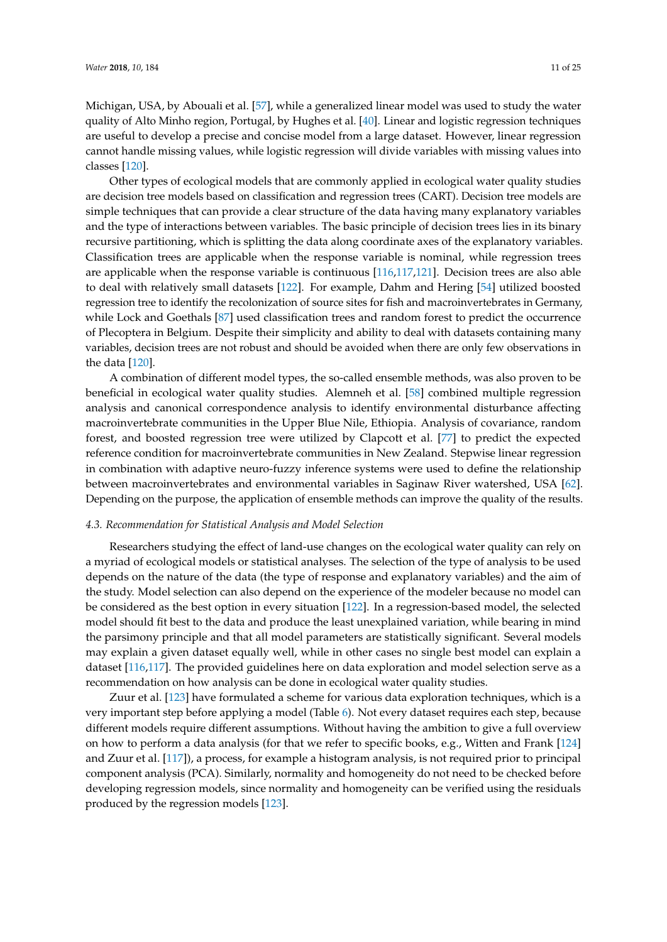Michigan, USA, by Abouali et al. [\[57\]](#page-20-23), while a generalized linear model was used to study the water quality of Alto Minho region, Portugal, by Hughes et al. [\[40\]](#page-19-15). Linear and logistic regression techniques are useful to develop a precise and concise model from a large dataset. However, linear regression cannot handle missing values, while logistic regression will divide variables with missing values into classes [\[120\]](#page-23-13).

Other types of ecological models that are commonly applied in ecological water quality studies are decision tree models based on classification and regression trees (CART). Decision tree models are simple techniques that can provide a clear structure of the data having many explanatory variables and the type of interactions between variables. The basic principle of decision trees lies in its binary recursive partitioning, which is splitting the data along coordinate axes of the explanatory variables. Classification trees are applicable when the response variable is nominal, while regression trees are applicable when the response variable is continuous [\[116](#page-23-10)[,117](#page-23-9)[,121\]](#page-23-14). Decision trees are also able to deal with relatively small datasets [\[122\]](#page-23-15). For example, Dahm and Hering [\[54\]](#page-20-8) utilized boosted regression tree to identify the recolonization of source sites for fish and macroinvertebrates in Germany, while Lock and Goethals [\[87\]](#page-22-24) used classification trees and random forest to predict the occurrence of Plecoptera in Belgium. Despite their simplicity and ability to deal with datasets containing many variables, decision trees are not robust and should be avoided when there are only few observations in the data [\[120\]](#page-23-13).

A combination of different model types, the so-called ensemble methods, was also proven to be beneficial in ecological water quality studies. Alemneh et al. [\[58\]](#page-20-20) combined multiple regression analysis and canonical correspondence analysis to identify environmental disturbance affecting macroinvertebrate communities in the Upper Blue Nile, Ethiopia. Analysis of covariance, random forest, and boosted regression tree were utilized by Clapcott et al. [\[77\]](#page-21-21) to predict the expected reference condition for macroinvertebrate communities in New Zealand. Stepwise linear regression in combination with adaptive neuro-fuzzy inference systems were used to define the relationship between macroinvertebrates and environmental variables in Saginaw River watershed, USA [\[62\]](#page-20-19). Depending on the purpose, the application of ensemble methods can improve the quality of the results.

#### *4.3. Recommendation for Statistical Analysis and Model Selection*

Researchers studying the effect of land-use changes on the ecological water quality can rely on a myriad of ecological models or statistical analyses. The selection of the type of analysis to be used depends on the nature of the data (the type of response and explanatory variables) and the aim of the study. Model selection can also depend on the experience of the modeler because no model can be considered as the best option in every situation [\[122\]](#page-23-15). In a regression-based model, the selected model should fit best to the data and produce the least unexplained variation, while bearing in mind the parsimony principle and that all model parameters are statistically significant. Several models may explain a given dataset equally well, while in other cases no single best model can explain a dataset [\[116,](#page-23-10)[117\]](#page-23-9). The provided guidelines here on data exploration and model selection serve as a recommendation on how analysis can be done in ecological water quality studies.

Zuur et al. [\[123\]](#page-23-16) have formulated a scheme for various data exploration techniques, which is a very important step before applying a model (Table [6\)](#page-11-0). Not every dataset requires each step, because different models require different assumptions. Without having the ambition to give a full overview on how to perform a data analysis (for that we refer to specific books, e.g., Witten and Frank [\[124\]](#page-23-17) and Zuur et al. [\[117\]](#page-23-9)), a process, for example a histogram analysis, is not required prior to principal component analysis (PCA). Similarly, normality and homogeneity do not need to be checked before developing regression models, since normality and homogeneity can be verified using the residuals produced by the regression models [\[123\]](#page-23-16).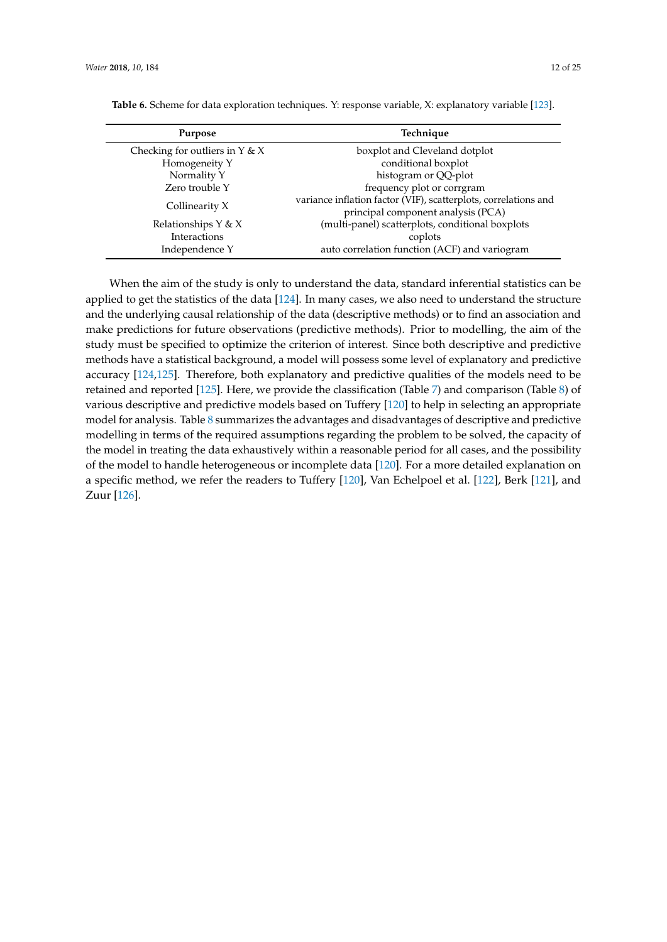| Purpose                          | Technique                                                                                             |
|----------------------------------|-------------------------------------------------------------------------------------------------------|
| Checking for outliers in $Y & X$ | boxplot and Cleveland dotplot                                                                         |
| Homogeneity Y                    | conditional boxplot                                                                                   |
| Normality Y                      | histogram or QQ-plot                                                                                  |
| Zero trouble Y                   | frequency plot or corrgram                                                                            |
| Collinearity X                   | variance inflation factor (VIF), scatterplots, correlations and<br>principal component analysis (PCA) |
| Relationships $Y & X$            | (multi-panel) scatterplots, conditional boxplots                                                      |
| Interactions                     | coplots                                                                                               |
| Independence Y                   | auto correlation function (ACF) and variogram                                                         |

<span id="page-11-0"></span>**Table 6.** Scheme for data exploration techniques. Y: response variable, X: explanatory variable [\[123\]](#page-23-16).

When the aim of the study is only to understand the data, standard inferential statistics can be applied to get the statistics of the data [\[124\]](#page-23-17). In many cases, we also need to understand the structure and the underlying causal relationship of the data (descriptive methods) or to find an association and make predictions for future observations (predictive methods). Prior to modelling, the aim of the study must be specified to optimize the criterion of interest. Since both descriptive and predictive methods have a statistical background, a model will possess some level of explanatory and predictive accuracy [\[124](#page-23-17)[,125\]](#page-23-18). Therefore, both explanatory and predictive qualities of the models need to be retained and reported [\[125\]](#page-23-18). Here, we provide the classification (Table [7\)](#page-12-0) and comparison (Table [8\)](#page-13-0) of various descriptive and predictive models based on Tuffery [\[120\]](#page-23-13) to help in selecting an appropriate model for analysis. Table [8](#page-13-0) summarizes the advantages and disadvantages of descriptive and predictive modelling in terms of the required assumptions regarding the problem to be solved, the capacity of the model in treating the data exhaustively within a reasonable period for all cases, and the possibility of the model to handle heterogeneous or incomplete data [\[120\]](#page-23-13). For a more detailed explanation on a specific method, we refer the readers to Tuffery [\[120\]](#page-23-13), Van Echelpoel et al. [\[122\]](#page-23-15), Berk [\[121\]](#page-23-14), and Zuur [\[126\]](#page-23-19).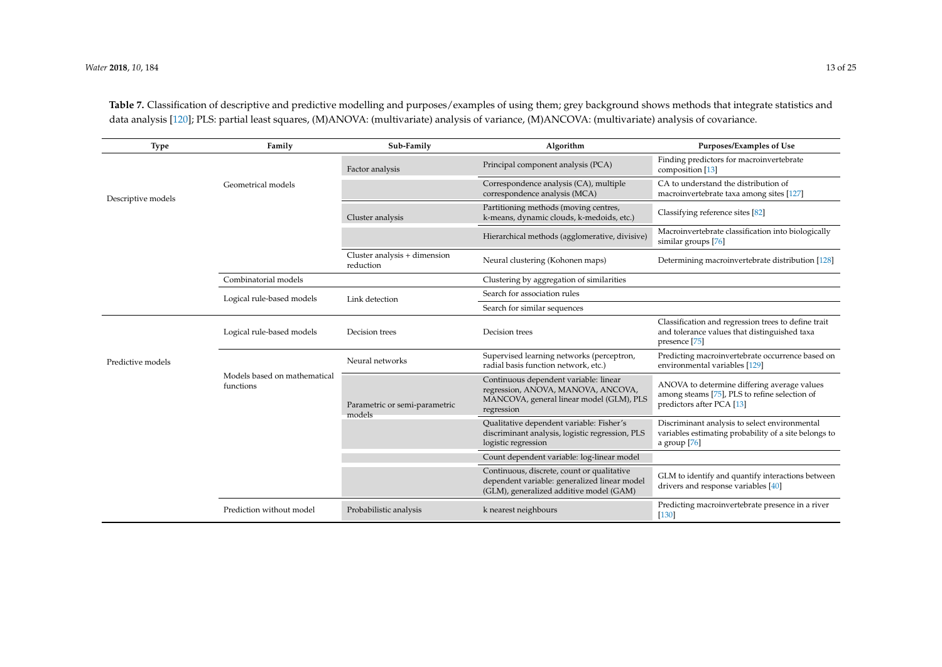**Table 7.** Classification of descriptive and predictive modelling and purposes/examples of using them; grey background shows methods that integrate statistics and data analysis [\[120\]](#page-23-20); PLS: partial least squares, (M)ANOVA: (multivariate) analysis of variance, (M)ANCOVA: (multivariate) analysis of covariance.

<span id="page-12-0"></span>

| <b>Type</b>        | Family                                    | Sub-Family                                | Algorithm                                                                                                                             | Purposes/Examples of Use                                                                                                  |
|--------------------|-------------------------------------------|-------------------------------------------|---------------------------------------------------------------------------------------------------------------------------------------|---------------------------------------------------------------------------------------------------------------------------|
|                    |                                           | Factor analysis                           | Principal component analysis (PCA)                                                                                                    | Finding predictors for macroinvertebrate<br>composition [13]                                                              |
| Descriptive models | Geometrical models                        |                                           | Correspondence analysis (CA), multiple<br>correspondence analysis (MCA)                                                               | CA to understand the distribution of<br>macroinvertebrate taxa among sites [127]                                          |
|                    |                                           | Cluster analysis                          | Partitioning methods (moving centres,<br>k-means, dynamic clouds, k-medoids, etc.)                                                    | Classifying reference sites [82]                                                                                          |
|                    |                                           |                                           | Hierarchical methods (agglomerative, divisive)                                                                                        | Macroinvertebrate classification into biologically<br>similar groups [76]                                                 |
|                    |                                           | Cluster analysis + dimension<br>reduction | Neural clustering (Kohonen maps)                                                                                                      | Determining macroinvertebrate distribution [128]                                                                          |
|                    | Combinatorial models                      |                                           | Clustering by aggregation of similarities                                                                                             |                                                                                                                           |
|                    | Logical rule-based models                 | Link detection                            | Search for association rules                                                                                                          |                                                                                                                           |
|                    |                                           |                                           | Search for similar sequences                                                                                                          |                                                                                                                           |
|                    | Logical rule-based models                 | Decision trees                            | Decision trees                                                                                                                        | Classification and regression trees to define trait<br>and tolerance values that distinguished taxa<br>presence [75]      |
| Predictive models  |                                           | Neural networks                           | Supervised learning networks (perceptron,<br>radial basis function network, etc.)                                                     | Predicting macroinvertebrate occurrence based on<br>environmental variables [129]                                         |
|                    | Models based on mathematical<br>functions | Parametric or semi-parametric<br>models   | Continuous dependent variable: linear<br>regression, ANOVA, MANOVA, ANCOVA,<br>MANCOVA, general linear model (GLM), PLS<br>regression | ANOVA to determine differing average values<br>among steams [75], PLS to refine selection of<br>predictors after PCA [13] |
|                    |                                           |                                           | Qualitative dependent variable: Fisher's<br>discriminant analysis, logistic regression, PLS<br>logistic regression                    | Discriminant analysis to select environmental<br>variables estimating probability of a site belongs to<br>a group $[76]$  |
|                    |                                           |                                           | Count dependent variable: log-linear model                                                                                            |                                                                                                                           |
|                    |                                           |                                           | Continuous, discrete, count or qualitative<br>dependent variable: generalized linear model<br>(GLM), generalized additive model (GAM) | GLM to identify and quantify interactions between<br>drivers and response variables [40]                                  |
|                    | Prediction without model                  | Probabilistic analysis                    | k nearest neighbours                                                                                                                  | Predicting macroinvertebrate presence in a river<br>$[130]$                                                               |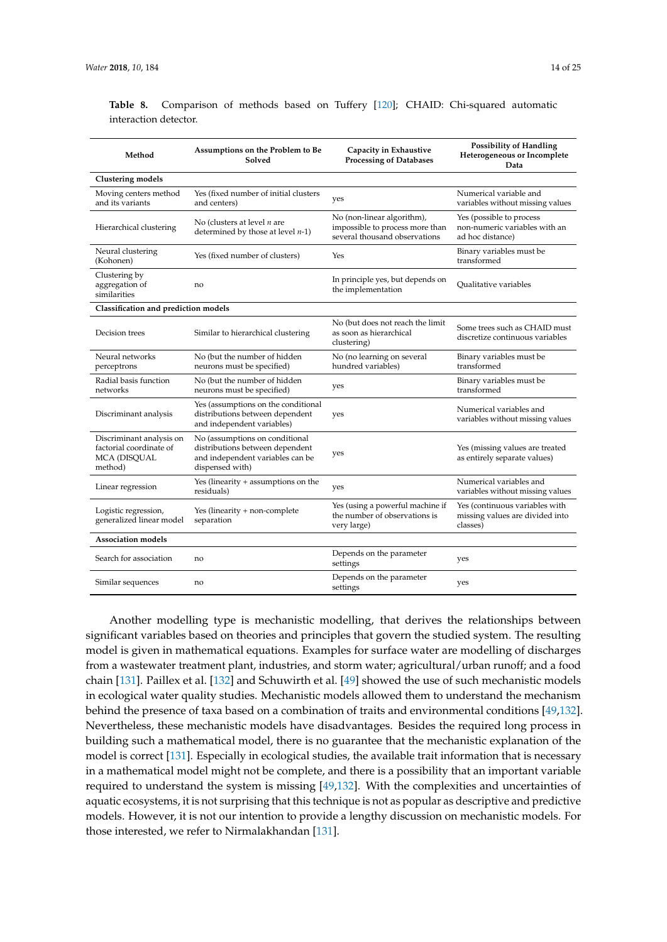|  |  | $1 + 01$ |  |
|--|--|----------|--|
|  |  |          |  |
|  |  |          |  |
|  |  |          |  |
|  |  |          |  |

| Method                                                                                | Assumptions on the Problem to Be<br>Solved                                                                               | Capacity in Exhaustive<br><b>Processing of Databases</b>                                       | <b>Possibility of Handling</b><br>Heterogeneous or Incomplete<br>Data         |
|---------------------------------------------------------------------------------------|--------------------------------------------------------------------------------------------------------------------------|------------------------------------------------------------------------------------------------|-------------------------------------------------------------------------------|
| <b>Clustering models</b>                                                              |                                                                                                                          |                                                                                                |                                                                               |
| Moving centers method<br>and its variants                                             | Yes (fixed number of initial clusters<br>and centers)                                                                    | yes                                                                                            | Numerical variable and<br>variables without missing values                    |
| Hierarchical clustering                                                               | No (clusters at level $n$ are<br>determined by those at level $n-1$ )                                                    | No (non-linear algorithm),<br>impossible to process more than<br>several thousand observations | Yes (possible to process<br>non-numeric variables with an<br>ad hoc distance) |
| Neural clustering<br>(Kohonen)                                                        | Yes (fixed number of clusters)                                                                                           | Yes                                                                                            | Binary variables must be<br>transformed                                       |
| Clustering by<br>aggregation of<br>similarities                                       | no                                                                                                                       | In principle yes, but depends on<br>the implementation                                         | Qualitative variables                                                         |
| Classification and prediction models                                                  |                                                                                                                          |                                                                                                |                                                                               |
| Decision trees                                                                        | Similar to hierarchical clustering                                                                                       | No (but does not reach the limit<br>as soon as hierarchical<br>clustering)                     | Some trees such as CHAID must<br>discretize continuous variables              |
| Neural networks<br>perceptrons                                                        | No (but the number of hidden<br>neurons must be specified)                                                               | No (no learning on several<br>hundred variables)                                               | Binary variables must be<br>transformed                                       |
| Radial basis function<br>networks                                                     | No (but the number of hidden<br>neurons must be specified)                                                               | yes                                                                                            | Binary variables must be<br>transformed                                       |
| Discriminant analysis                                                                 | Yes (assumptions on the conditional<br>distributions between dependent<br>and independent variables)                     | yes                                                                                            | Numerical variables and<br>variables without missing values                   |
| Discriminant analysis on<br>factorial coordinate of<br><b>MCA (DISQUAL</b><br>method) | No (assumptions on conditional<br>distributions between dependent<br>and independent variables can be<br>dispensed with) | yes                                                                                            | Yes (missing values are treated<br>as entirely separate values)               |
| Linear regression                                                                     | Yes (linearity + assumptions on the<br>residuals)                                                                        | yes                                                                                            | Numerical variables and<br>variables without missing values                   |
| Logistic regression,<br>generalized linear model                                      | Yes (linearity + non-complete<br>separation                                                                              | Yes (using a powerful machine if<br>the number of observations is<br>very large)               | Yes (continuous variables with<br>missing values are divided into<br>classes) |
| <b>Association models</b>                                                             |                                                                                                                          |                                                                                                |                                                                               |
| Search for association                                                                | no                                                                                                                       | Depends on the parameter<br>settings                                                           | yes                                                                           |
| Similar sequences                                                                     | no                                                                                                                       | Depends on the parameter<br>settings                                                           | yes                                                                           |

<span id="page-13-0"></span>**Table 8.** Comparison of methods based on Tuffery [\[120\]](#page-23-13); CHAID: Chi-squared automatic interaction detector.

Another modelling type is mechanistic modelling, that derives the relationships between significant variables based on theories and principles that govern the studied system. The resulting model is given in mathematical equations. Examples for surface water are modelling of discharges from a wastewater treatment plant, industries, and storm water; agricultural/urban runoff; and a food chain [\[131\]](#page-24-3). Paillex et al. [\[132\]](#page-24-4) and Schuwirth et al. [\[49\]](#page-20-25) showed the use of such mechanistic models in ecological water quality studies. Mechanistic models allowed them to understand the mechanism behind the presence of taxa based on a combination of traits and environmental conditions [\[49,](#page-20-25)[132\]](#page-24-4). Nevertheless, these mechanistic models have disadvantages. Besides the required long process in building such a mathematical model, there is no guarantee that the mechanistic explanation of the model is correct [\[131\]](#page-24-3). Especially in ecological studies, the available trait information that is necessary in a mathematical model might not be complete, and there is a possibility that an important variable required to understand the system is missing [\[49](#page-20-25)[,132\]](#page-24-4). With the complexities and uncertainties of aquatic ecosystems, it is not surprising that this technique is not as popular as descriptive and predictive models. However, it is not our intention to provide a lengthy discussion on mechanistic models. For those interested, we refer to Nirmalakhandan [\[131\]](#page-24-3).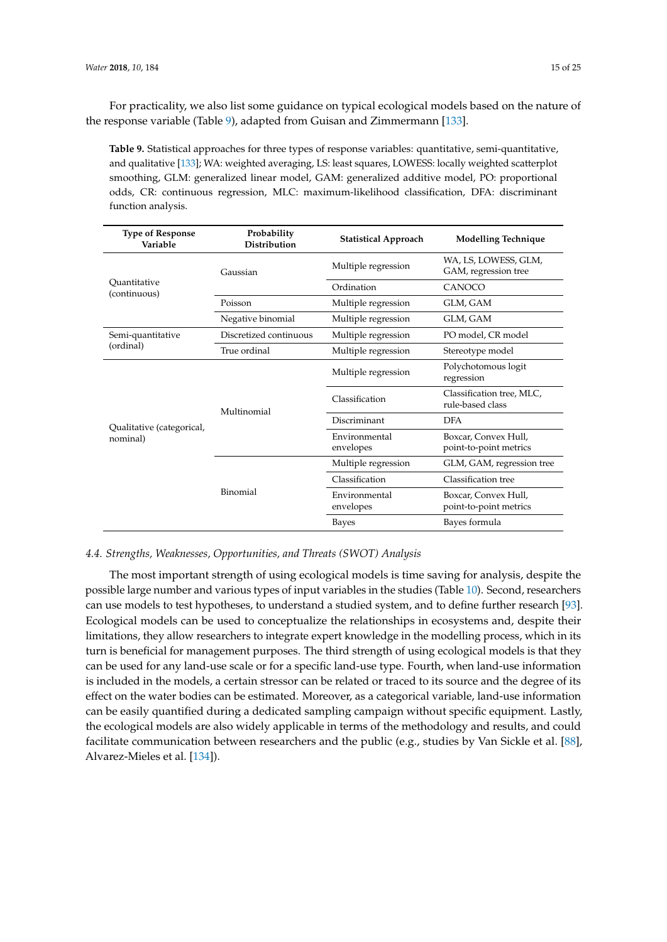For practicality, we also list some guidance on typical ecological models based on the nature of the response variable (Table [9\)](#page-14-0), adapted from Guisan and Zimmermann [\[133\]](#page-24-5).

<span id="page-14-0"></span>**Table 9.** Statistical approaches for three types of response variables: quantitative, semi-quantitative, and qualitative [\[133\]](#page-24-5); WA: weighted averaging, LS: least squares, LOWESS: locally weighted scatterplot smoothing, GLM: generalized linear model, GAM: generalized additive model, PO: proportional odds, CR: continuous regression, MLC: maximum-likelihood classification, DFA: discriminant function analysis.

| <b>Type of Response</b><br>Variable | Probability<br><b>Distribution</b> | <b>Statistical Approach</b> | <b>Modelling Technique</b>                     |
|-------------------------------------|------------------------------------|-----------------------------|------------------------------------------------|
|                                     | Gaussian                           | Multiple regression         | WA, LS, LOWESS, GLM,<br>GAM, regression tree   |
| Ouantitative<br>(continuous)        |                                    | Ordination                  | CANOCO                                         |
|                                     | Poisson                            | Multiple regression         | GLM, GAM                                       |
|                                     | Negative binomial                  | Multiple regression         | GLM, GAM                                       |
| Semi-quantitative                   | Discretized continuous             | Multiple regression         | PO model, CR model                             |
| (ordinal)                           | True ordinal                       | Multiple regression         | Stereotype model                               |
|                                     |                                    | Multiple regression         | Polychotomous logit<br>regression              |
|                                     | Multinomial                        | Classification              | Classification tree, MLC,<br>rule-based class  |
| Qualitative (categorical,           |                                    | Discriminant                | <b>DFA</b>                                     |
| nominal)                            |                                    | Environmental<br>envelopes  | Boxcar, Convex Hull,<br>point-to-point metrics |
|                                     |                                    | Multiple regression         | GLM, GAM, regression tree                      |
|                                     |                                    | Classification              | Classification tree                            |
|                                     | Binomial                           | Environmental<br>envelopes  | Boxcar, Convex Hull,<br>point-to-point metrics |
|                                     |                                    | Bayes                       | Bayes formula                                  |

#### *4.4. Strengths, Weaknesses, Opportunities, and Threats (SWOT) Analysis*

The most important strength of using ecological models is time saving for analysis, despite the possible large number and various types of input variables in the studies (Table [10\)](#page-15-0). Second, researchers can use models to test hypotheses, to understand a studied system, and to define further research [\[93\]](#page-22-10). Ecological models can be used to conceptualize the relationships in ecosystems and, despite their limitations, they allow researchers to integrate expert knowledge in the modelling process, which in its turn is beneficial for management purposes. The third strength of using ecological models is that they can be used for any land-use scale or for a specific land-use type. Fourth, when land-use information is included in the models, a certain stressor can be related or traced to its source and the degree of its effect on the water bodies can be estimated. Moreover, as a categorical variable, land-use information can be easily quantified during a dedicated sampling campaign without specific equipment. Lastly, the ecological models are also widely applicable in terms of the methodology and results, and could facilitate communication between researchers and the public (e.g., studies by Van Sickle et al. [\[88\]](#page-22-22), Alvarez-Mieles et al. [\[134\]](#page-24-6)).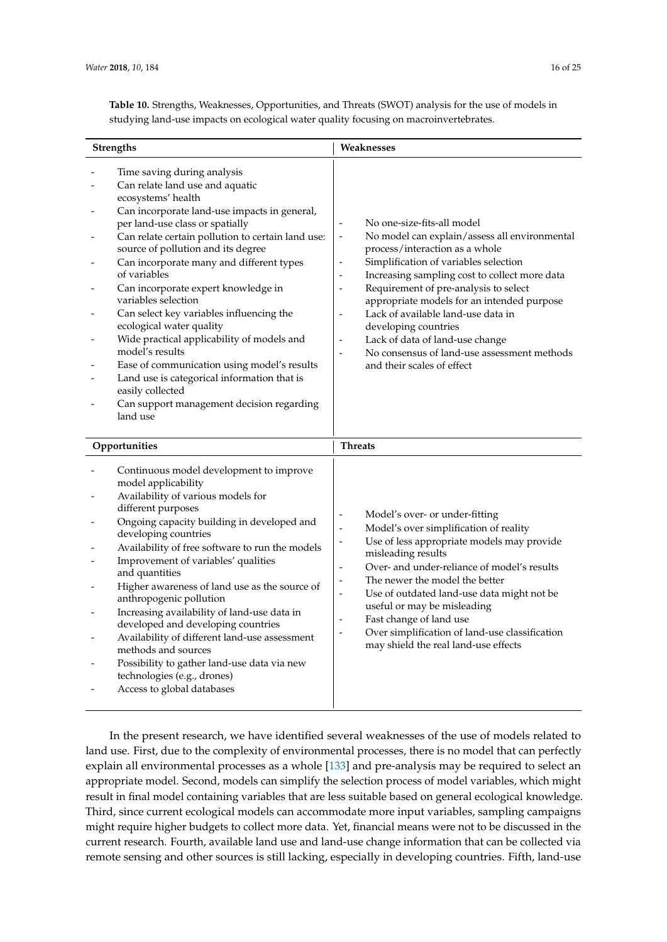<span id="page-15-0"></span>**Table 10.** Strengths, Weaknesses, Opportunities, and Threats (SWOT) analysis for the use of models in studying land-use impacts on ecological water quality focusing on macroinvertebrates.

| <b>Strengths</b>                                                                                                                                                                                                                                                                                                                                                                                                                                                                                                                                                                                                                                                                                                 | Weaknesses                                                                                                                                                                                                                                                                                                                                                                                                                                                                                                                                                                                                                   |
|------------------------------------------------------------------------------------------------------------------------------------------------------------------------------------------------------------------------------------------------------------------------------------------------------------------------------------------------------------------------------------------------------------------------------------------------------------------------------------------------------------------------------------------------------------------------------------------------------------------------------------------------------------------------------------------------------------------|------------------------------------------------------------------------------------------------------------------------------------------------------------------------------------------------------------------------------------------------------------------------------------------------------------------------------------------------------------------------------------------------------------------------------------------------------------------------------------------------------------------------------------------------------------------------------------------------------------------------------|
| Time saving during analysis<br>Can relate land use and aquatic<br>ecosystems' health<br>Can incorporate land-use impacts in general,<br>per land-use class or spatially<br>Can relate certain pollution to certain land use:<br>source of pollution and its degree<br>Can incorporate many and different types<br>of variables<br>Can incorporate expert knowledge in<br>variables selection<br>Can select key variables influencing the<br>ecological water quality<br>Wide practical applicability of models and<br>model's results<br>Ease of communication using model's results<br>Land use is categorical information that is<br>easily collected<br>Can support management decision regarding<br>land use | No one-size-fits-all model<br>$\qquad \qquad \blacksquare$<br>No model can explain/assess all environmental<br>$\overline{\phantom{a}}$<br>process/interaction as a whole<br>Simplification of variables selection<br>$\overline{\phantom{a}}$<br>Increasing sampling cost to collect more data<br>$\overline{\phantom{a}}$<br>Requirement of pre-analysis to select<br>appropriate models for an intended purpose<br>Lack of available land-use data in<br>$\overline{\phantom{a}}$<br>developing countries<br>Lack of data of land-use change<br>No consensus of land-use assessment methods<br>and their scales of effect |
| Opportunities                                                                                                                                                                                                                                                                                                                                                                                                                                                                                                                                                                                                                                                                                                    | <b>Threats</b>                                                                                                                                                                                                                                                                                                                                                                                                                                                                                                                                                                                                               |
| Continuous model development to improve<br>model applicability<br>Availability of various models for<br>different purposes<br>Ongoing capacity building in developed and<br>developing countries<br>Availability of free software to run the models<br>Improvement of variables' qualities<br>and quantities<br>Higher awareness of land use as the source of<br>anthropogenic pollution<br>Increasing availability of land-use data in<br>developed and developing countries<br>Availability of different land-use assessment<br>methods and sources<br>Possibility to gather land-use data via new<br>technologies (e.g., drones)<br>Access to global databases                                                | Model's over- or under-fitting<br>Model's over simplification of reality<br>$\overline{a}$<br>Use of less appropriate models may provide<br>$\overline{\phantom{a}}$<br>misleading results<br>Over- and under-reliance of model's results<br>$\overline{\phantom{a}}$<br>The newer the model the better<br>Use of outdated land-use data might not be<br>$\overline{\phantom{m}}$<br>useful or may be misleading<br>Fast change of land use<br>Over simplification of land-use classification<br>$\overline{\phantom{a}}$<br>may shield the real land-use effects                                                            |

In the present research, we have identified several weaknesses of the use of models related to land use. First, due to the complexity of environmental processes, there is no model that can perfectly explain all environmental processes as a whole [\[133\]](#page-24-5) and pre-analysis may be required to select an appropriate model. Second, models can simplify the selection process of model variables, which might result in final model containing variables that are less suitable based on general ecological knowledge. Third, since current ecological models can accommodate more input variables, sampling campaigns might require higher budgets to collect more data. Yet, financial means were not to be discussed in the current research. Fourth, available land use and land-use change information that can be collected via remote sensing and other sources is still lacking, especially in developing countries. Fifth, land-use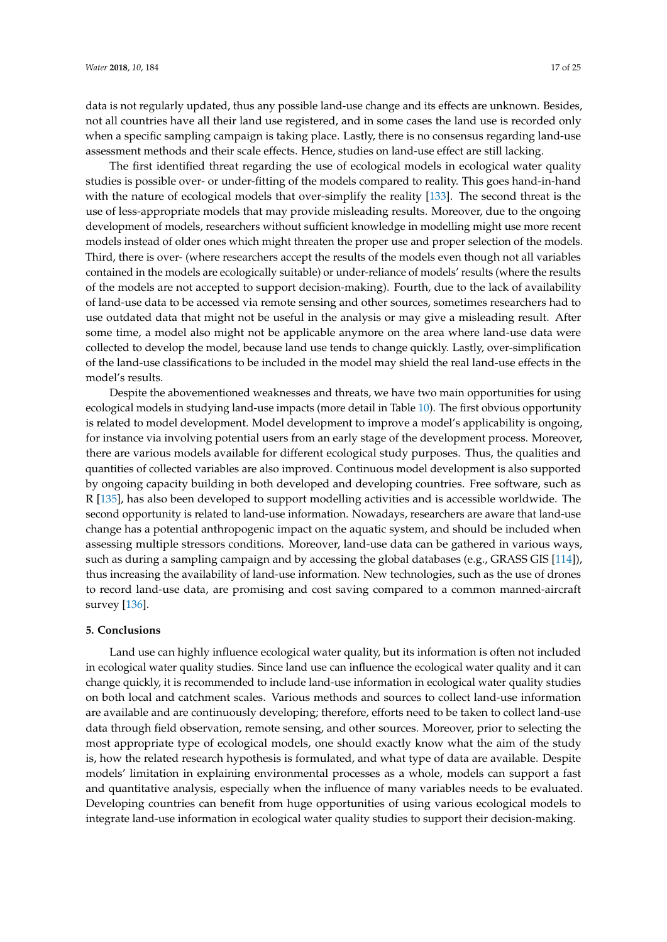data is not regularly updated, thus any possible land-use change and its effects are unknown. Besides, not all countries have all their land use registered, and in some cases the land use is recorded only when a specific sampling campaign is taking place. Lastly, there is no consensus regarding land-use assessment methods and their scale effects. Hence, studies on land-use effect are still lacking.

The first identified threat regarding the use of ecological models in ecological water quality studies is possible over- or under-fitting of the models compared to reality. This goes hand-in-hand with the nature of ecological models that over-simplify the reality [\[133\]](#page-24-5). The second threat is the use of less-appropriate models that may provide misleading results. Moreover, due to the ongoing development of models, researchers without sufficient knowledge in modelling might use more recent models instead of older ones which might threaten the proper use and proper selection of the models. Third, there is over- (where researchers accept the results of the models even though not all variables contained in the models are ecologically suitable) or under-reliance of models' results (where the results of the models are not accepted to support decision-making). Fourth, due to the lack of availability of land-use data to be accessed via remote sensing and other sources, sometimes researchers had to use outdated data that might not be useful in the analysis or may give a misleading result. After some time, a model also might not be applicable anymore on the area where land-use data were collected to develop the model, because land use tends to change quickly. Lastly, over-simplification of the land-use classifications to be included in the model may shield the real land-use effects in the model's results.

Despite the abovementioned weaknesses and threats, we have two main opportunities for using ecological models in studying land-use impacts (more detail in Table [10\)](#page-15-0). The first obvious opportunity is related to model development. Model development to improve a model's applicability is ongoing, for instance via involving potential users from an early stage of the development process. Moreover, there are various models available for different ecological study purposes. Thus, the qualities and quantities of collected variables are also improved. Continuous model development is also supported by ongoing capacity building in both developed and developing countries. Free software, such as R [\[135\]](#page-24-7), has also been developed to support modelling activities and is accessible worldwide. The second opportunity is related to land-use information. Nowadays, researchers are aware that land-use change has a potential anthropogenic impact on the aquatic system, and should be included when assessing multiple stressors conditions. Moreover, land-use data can be gathered in various ways, such as during a sampling campaign and by accessing the global databases (e.g., GRASS GIS [\[114\]](#page-23-7)), thus increasing the availability of land-use information. New technologies, such as the use of drones to record land-use data, are promising and cost saving compared to a common manned-aircraft survey [\[136\]](#page-24-8).

#### **5. Conclusions**

Land use can highly influence ecological water quality, but its information is often not included in ecological water quality studies. Since land use can influence the ecological water quality and it can change quickly, it is recommended to include land-use information in ecological water quality studies on both local and catchment scales. Various methods and sources to collect land-use information are available and are continuously developing; therefore, efforts need to be taken to collect land-use data through field observation, remote sensing, and other sources. Moreover, prior to selecting the most appropriate type of ecological models, one should exactly know what the aim of the study is, how the related research hypothesis is formulated, and what type of data are available. Despite models' limitation in explaining environmental processes as a whole, models can support a fast and quantitative analysis, especially when the influence of many variables needs to be evaluated. Developing countries can benefit from huge opportunities of using various ecological models to integrate land-use information in ecological water quality studies to support their decision-making.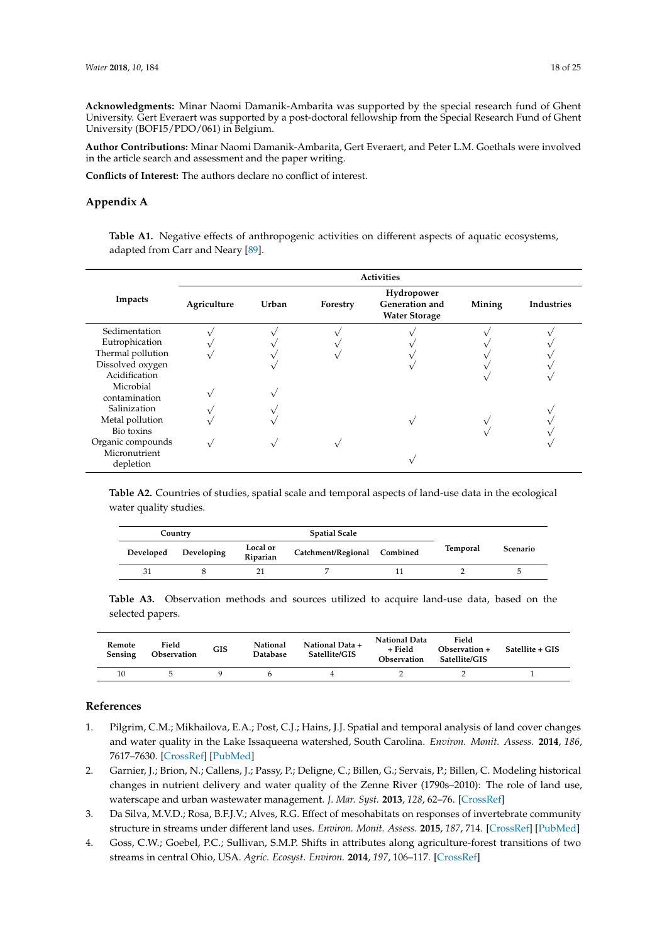**Acknowledgments:** Minar Naomi Damanik-Ambarita was supported by the special research fund of Ghent University. Gert Everaert was supported by a post-doctoral fellowship from the Special Research Fund of Ghent University (BOF15/PDO/061) in Belgium.

**Author Contributions:** Minar Naomi Damanik-Ambarita, Gert Everaert, and Peter L.M. Goethals were involved in the article search and assessment and the paper writing.

**Conflicts of Interest:** The authors declare no conflict of interest.

#### <span id="page-17-4"></span>**Appendix A**

**Table A1.** Negative effects of anthropogenic activities on different aspects of aquatic ecosystems, adapted from Carr and Neary [\[89\]](#page-22-5).

|                   | <b>Activities</b> |       |          |                                                      |        |            |  |
|-------------------|-------------------|-------|----------|------------------------------------------------------|--------|------------|--|
| Impacts           | Agriculture       | Urban | Forestry | Hydropower<br>Generation and<br><b>Water Storage</b> | Mining | Industries |  |
| Sedimentation     |                   |       |          |                                                      |        |            |  |
| Eutrophication    |                   |       |          |                                                      |        |            |  |
| Thermal pollution |                   |       |          |                                                      |        |            |  |
| Dissolved oxygen  |                   |       |          |                                                      |        |            |  |
| Acidification     |                   |       |          |                                                      |        |            |  |
| Microbial         |                   |       |          |                                                      |        |            |  |
| contamination     |                   |       |          |                                                      |        |            |  |
| Salinization      |                   |       |          |                                                      |        |            |  |
| Metal pollution   |                   |       |          |                                                      |        |            |  |
| Bio toxins        |                   |       |          |                                                      |        |            |  |
| Organic compounds |                   |       |          |                                                      |        |            |  |
| Micronutrient     |                   |       |          |                                                      |        |            |  |
| depletion         |                   |       |          |                                                      |        |            |  |

<span id="page-17-5"></span>**Table A2.** Countries of studies, spatial scale and temporal aspects of land-use data in the ecological water quality studies.

| Country   |            |                      | <b>Spatial Scale</b>        |  |          |          |
|-----------|------------|----------------------|-----------------------------|--|----------|----------|
| Developed | Developing | Local or<br>Riparian | Catchment/Regional Combined |  | Temporal | Scenario |
| 31        |            |                      |                             |  |          |          |

<span id="page-17-6"></span>**Table A3.** Observation methods and sources utilized to acquire land-use data, based on the selected papers.

| Remote<br><b>Sensing</b> | Field<br>Observation | <b>GIS</b> | National<br><b>Database</b> | National Data +<br>Satellite/GIS | National Data<br>+ Field<br>Observation | Field<br>Observation +<br>Satellite/GIS | Satellite + GIS |
|--------------------------|----------------------|------------|-----------------------------|----------------------------------|-----------------------------------------|-----------------------------------------|-----------------|
|                          |                      |            |                             |                                  |                                         |                                         |                 |

#### **References**

- <span id="page-17-0"></span>1. Pilgrim, C.M.; Mikhailova, E.A.; Post, C.J.; Hains, J.J. Spatial and temporal analysis of land cover changes and water quality in the Lake Issaqueena watershed, South Carolina. *Environ. Monit. Assess.* **2014**, *186*, 7617–7630. [\[CrossRef\]](http://dx.doi.org/10.1007/s10661-014-3953-9) [\[PubMed\]](http://www.ncbi.nlm.nih.gov/pubmed/25124990)
- <span id="page-17-1"></span>2. Garnier, J.; Brion, N.; Callens, J.; Passy, P.; Deligne, C.; Billen, G.; Servais, P.; Billen, C. Modeling historical changes in nutrient delivery and water quality of the Zenne River (1790s–2010): The role of land use, waterscape and urban wastewater management. *J. Mar. Syst.* **2013**, *128*, 62–76. [\[CrossRef\]](http://dx.doi.org/10.1016/j.jmarsys.2012.04.001)
- <span id="page-17-2"></span>3. Da Silva, M.V.D.; Rosa, B.F.J.V.; Alves, R.G. Effect of mesohabitats on responses of invertebrate community structure in streams under different land uses. *Environ. Monit. Assess.* **2015**, *187*, 714. [\[CrossRef\]](http://dx.doi.org/10.1007/s10661-015-4926-3) [\[PubMed\]](http://www.ncbi.nlm.nih.gov/pubmed/26514797)
- <span id="page-17-3"></span>4. Goss, C.W.; Goebel, P.C.; Sullivan, S.M.P. Shifts in attributes along agriculture-forest transitions of two streams in central Ohio, USA. *Agric. Ecosyst. Environ.* **2014**, *197*, 106–117. [\[CrossRef\]](http://dx.doi.org/10.1016/j.agee.2014.07.026)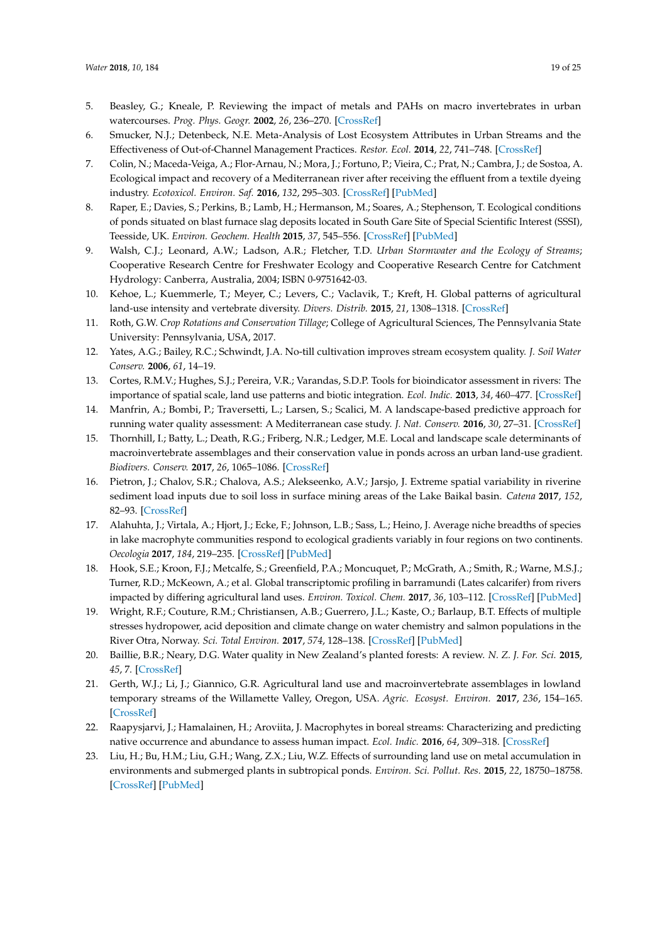- <span id="page-18-19"></span><span id="page-18-1"></span>5. Beasley, G.; Kneale, P. Reviewing the impact of metals and PAHs on macro invertebrates in urban watercourses. *Prog. Phys. Geogr.* **2002**, *26*, 236–270. [\[CrossRef\]](http://dx.doi.org/10.1191/0309133302pp334ra)
- <span id="page-18-0"></span>6. Smucker, N.J.; Detenbeck, N.E. Meta-Analysis of Lost Ecosystem Attributes in Urban Streams and the Effectiveness of Out-of-Channel Management Practices. *Restor. Ecol.* **2014**, *22*, 741–748. [\[CrossRef\]](http://dx.doi.org/10.1111/rec.12134)
- <span id="page-18-2"></span>7. Colin, N.; Maceda-Veiga, A.; Flor-Arnau, N.; Mora, J.; Fortuno, P.; Vieira, C.; Prat, N.; Cambra, J.; de Sostoa, A. Ecological impact and recovery of a Mediterranean river after receiving the effluent from a textile dyeing industry. *Ecotoxicol. Environ. Saf.* **2016**, *132*, 295–303. [\[CrossRef\]](http://dx.doi.org/10.1016/j.ecoenv.2016.06.017) [\[PubMed\]](http://www.ncbi.nlm.nih.gov/pubmed/27344397)
- <span id="page-18-3"></span>8. Raper, E.; Davies, S.; Perkins, B.; Lamb, H.; Hermanson, M.; Soares, A.; Stephenson, T. Ecological conditions of ponds situated on blast furnace slag deposits located in South Gare Site of Special Scientific Interest (SSSI), Teesside, UK. *Environ. Geochem. Health* **2015**, *37*, 545–556. [\[CrossRef\]](http://dx.doi.org/10.1007/s10653-014-9672-x) [\[PubMed\]](http://www.ncbi.nlm.nih.gov/pubmed/25537165)
- <span id="page-18-4"></span>9. Walsh, C.J.; Leonard, A.W.; Ladson, A.R.; Fletcher, T.D. *Urban Stormwater and the Ecology of Streams*; Cooperative Research Centre for Freshwater Ecology and Cooperative Research Centre for Catchment Hydrology: Canberra, Australia, 2004; ISBN 0-9751642-03.
- <span id="page-18-5"></span>10. Kehoe, L.; Kuemmerle, T.; Meyer, C.; Levers, C.; Vaclavik, T.; Kreft, H. Global patterns of agricultural land-use intensity and vertebrate diversity. *Divers. Distrib.* **2015**, *21*, 1308–1318. [\[CrossRef\]](http://dx.doi.org/10.1111/ddi.12359)
- <span id="page-18-6"></span>11. Roth, G.W. *Crop Rotations and Conservation Tillage*; College of Agricultural Sciences, The Pennsylvania State University: Pennsylvania, USA, 2017.
- <span id="page-18-7"></span>12. Yates, A.G.; Bailey, R.C.; Schwindt, J.A. No-till cultivation improves stream ecosystem quality. *J. Soil Water Conserv.* **2006**, *61*, 14–19.
- <span id="page-18-8"></span>13. Cortes, R.M.V.; Hughes, S.J.; Pereira, V.R.; Varandas, S.D.P. Tools for bioindicator assessment in rivers: The importance of spatial scale, land use patterns and biotic integration. *Ecol. Indic.* **2013**, *34*, 460–477. [\[CrossRef\]](http://dx.doi.org/10.1016/j.ecolind.2013.06.004)
- <span id="page-18-9"></span>14. Manfrin, A.; Bombi, P.; Traversetti, L.; Larsen, S.; Scalici, M. A landscape-based predictive approach for running water quality assessment: A Mediterranean case study. *J. Nat. Conserv.* **2016**, *30*, 27–31. [\[CrossRef\]](http://dx.doi.org/10.1016/j.jnc.2016.01.002)
- <span id="page-18-10"></span>15. Thornhill, I.; Batty, L.; Death, R.G.; Friberg, N.R.; Ledger, M.E. Local and landscape scale determinants of macroinvertebrate assemblages and their conservation value in ponds across an urban land-use gradient. *Biodivers. Conserv.* **2017**, *26*, 1065–1086. [\[CrossRef\]](http://dx.doi.org/10.1007/s10531-016-1286-4)
- <span id="page-18-11"></span>16. Pietron, J.; Chalov, S.R.; Chalova, A.S.; Alekseenko, A.V.; Jarsjo, J. Extreme spatial variability in riverine sediment load inputs due to soil loss in surface mining areas of the Lake Baikal basin. *Catena* **2017**, *152*, 82–93. [\[CrossRef\]](http://dx.doi.org/10.1016/j.catena.2017.01.008)
- <span id="page-18-12"></span>17. Alahuhta, J.; Virtala, A.; Hjort, J.; Ecke, F.; Johnson, L.B.; Sass, L.; Heino, J. Average niche breadths of species in lake macrophyte communities respond to ecological gradients variably in four regions on two continents. *Oecologia* **2017**, *184*, 219–235. [\[CrossRef\]](http://dx.doi.org/10.1007/s00442-017-3847-y) [\[PubMed\]](http://www.ncbi.nlm.nih.gov/pubmed/28293743)
- <span id="page-18-13"></span>18. Hook, S.E.; Kroon, F.J.; Metcalfe, S.; Greenfield, P.A.; Moncuquet, P.; McGrath, A.; Smith, R.; Warne, M.S.J.; Turner, R.D.; McKeown, A.; et al. Global transcriptomic profiling in barramundi (Lates calcarifer) from rivers impacted by differing agricultural land uses. *Environ. Toxicol. Chem.* **2017**, *36*, 103–112. [\[CrossRef\]](http://dx.doi.org/10.1002/etc.3505) [\[PubMed\]](http://www.ncbi.nlm.nih.gov/pubmed/27219023)
- <span id="page-18-14"></span>19. Wright, R.F.; Couture, R.M.; Christiansen, A.B.; Guerrero, J.L.; Kaste, O.; Barlaup, B.T. Effects of multiple stresses hydropower, acid deposition and climate change on water chemistry and salmon populations in the River Otra, Norway. *Sci. Total Environ.* **2017**, *574*, 128–138. [\[CrossRef\]](http://dx.doi.org/10.1016/j.scitotenv.2016.09.044) [\[PubMed\]](http://www.ncbi.nlm.nih.gov/pubmed/27627688)
- <span id="page-18-15"></span>20. Baillie, B.R.; Neary, D.G. Water quality in New Zealand's planted forests: A review. *N. Z. J. For. Sci.* **2015**, *45*, 7. [\[CrossRef\]](http://dx.doi.org/10.1186/s40490-015-0040-0)
- <span id="page-18-16"></span>21. Gerth, W.J.; Li, J.; Giannico, G.R. Agricultural land use and macroinvertebrate assemblages in lowland temporary streams of the Willamette Valley, Oregon, USA. *Agric. Ecosyst. Environ.* **2017**, *236*, 154–165. [\[CrossRef\]](http://dx.doi.org/10.1016/j.agee.2016.11.010)
- <span id="page-18-17"></span>22. Raapysjarvi, J.; Hamalainen, H.; Aroviita, J. Macrophytes in boreal streams: Characterizing and predicting native occurrence and abundance to assess human impact. *Ecol. Indic.* **2016**, *64*, 309–318. [\[CrossRef\]](http://dx.doi.org/10.1016/j.ecolind.2016.01.014)
- <span id="page-18-18"></span>23. Liu, H.; Bu, H.M.; Liu, G.H.; Wang, Z.X.; Liu, W.Z. Effects of surrounding land use on metal accumulation in environments and submerged plants in subtropical ponds. *Environ. Sci. Pollut. Res.* **2015**, *22*, 18750–18758. [\[CrossRef\]](http://dx.doi.org/10.1007/s11356-015-5067-5) [\[PubMed\]](http://www.ncbi.nlm.nih.gov/pubmed/26199006)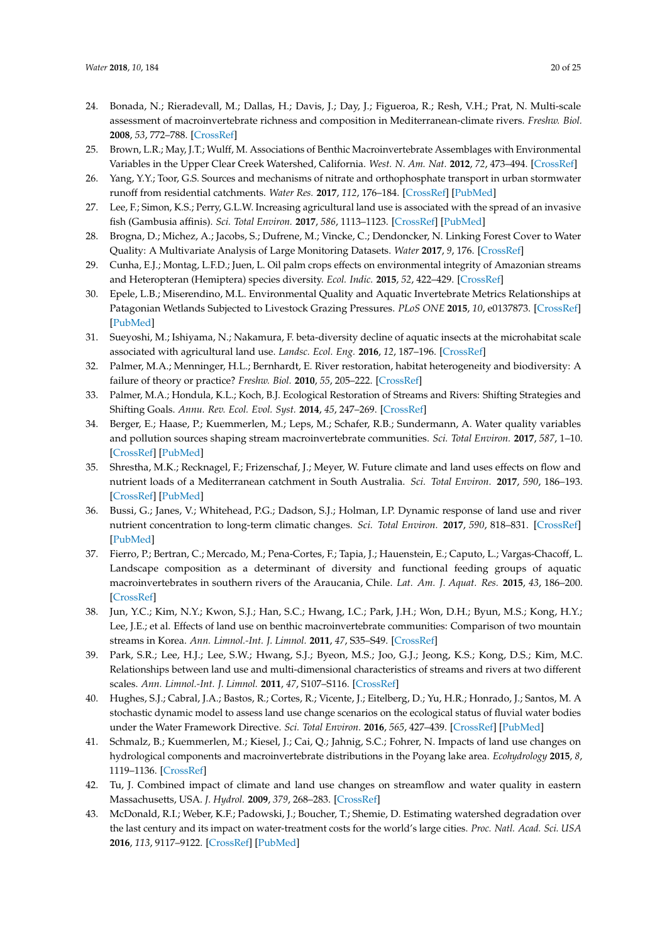- <span id="page-19-21"></span><span id="page-19-0"></span>24. Bonada, N.; Rieradevall, M.; Dallas, H.; Davis, J.; Day, J.; Figueroa, R.; Resh, V.H.; Prat, N. Multi-scale assessment of macroinvertebrate richness and composition in Mediterranean-climate rivers. *Freshw. Biol.* **2008**, *53*, 772–788. [\[CrossRef\]](http://dx.doi.org/10.1111/j.1365-2427.2007.01940.x)
- <span id="page-19-1"></span>25. Brown, L.R.; May, J.T.; Wulff, M. Associations of Benthic Macroinvertebrate Assemblages with Environmental Variables in the Upper Clear Creek Watershed, California. *West. N. Am. Nat.* **2012**, *72*, 473–494. [\[CrossRef\]](http://dx.doi.org/10.3398/064.072.0406)
- <span id="page-19-2"></span>26. Yang, Y.Y.; Toor, G.S. Sources and mechanisms of nitrate and orthophosphate transport in urban stormwater runoff from residential catchments. *Water Res.* **2017**, *112*, 176–184. [\[CrossRef\]](http://dx.doi.org/10.1016/j.watres.2017.01.039) [\[PubMed\]](http://www.ncbi.nlm.nih.gov/pubmed/28160697)
- <span id="page-19-3"></span>27. Lee, F.; Simon, K.S.; Perry, G.L.W. Increasing agricultural land use is associated with the spread of an invasive fish (Gambusia affinis). *Sci. Total Environ.* **2017**, *586*, 1113–1123. [\[CrossRef\]](http://dx.doi.org/10.1016/j.scitotenv.2017.02.101) [\[PubMed\]](http://www.ncbi.nlm.nih.gov/pubmed/28214124)
- <span id="page-19-4"></span>28. Brogna, D.; Michez, A.; Jacobs, S.; Dufrene, M.; Vincke, C.; Dendoncker, N. Linking Forest Cover to Water Quality: A Multivariate Analysis of Large Monitoring Datasets. *Water* **2017**, *9*, 176. [\[CrossRef\]](http://dx.doi.org/10.3390/w9030176)
- <span id="page-19-5"></span>29. Cunha, E.J.; Montag, L.F.D.; Juen, L. Oil palm crops effects on environmental integrity of Amazonian streams and Heteropteran (Hemiptera) species diversity. *Ecol. Indic.* **2015**, *52*, 422–429. [\[CrossRef\]](http://dx.doi.org/10.1016/j.ecolind.2014.12.024)
- 30. Epele, L.B.; Miserendino, M.L. Environmental Quality and Aquatic Invertebrate Metrics Relationships at Patagonian Wetlands Subjected to Livestock Grazing Pressures. *PLoS ONE* **2015**, *10*, e0137873. [\[CrossRef\]](http://dx.doi.org/10.1371/journal.pone.0137873) [\[PubMed\]](http://www.ncbi.nlm.nih.gov/pubmed/26448652)
- <span id="page-19-6"></span>31. Sueyoshi, M.; Ishiyama, N.; Nakamura, F. beta-diversity decline of aquatic insects at the microhabitat scale associated with agricultural land use. *Landsc. Ecol. Eng.* **2016**, *12*, 187–196. [\[CrossRef\]](http://dx.doi.org/10.1007/s11355-015-0283-1)
- <span id="page-19-7"></span>32. Palmer, M.A.; Menninger, H.L.; Bernhardt, E. River restoration, habitat heterogeneity and biodiversity: A failure of theory or practice? *Freshw. Biol.* **2010**, *55*, 205–222. [\[CrossRef\]](http://dx.doi.org/10.1111/j.1365-2427.2009.02372.x)
- <span id="page-19-8"></span>33. Palmer, M.A.; Hondula, K.L.; Koch, B.J. Ecological Restoration of Streams and Rivers: Shifting Strategies and Shifting Goals. *Annu. Rev. Ecol. Evol. Syst.* **2014**, *45*, 247–269. [\[CrossRef\]](http://dx.doi.org/10.1146/annurev-ecolsys-120213-091935)
- <span id="page-19-19"></span><span id="page-19-9"></span>34. Berger, E.; Haase, P.; Kuemmerlen, M.; Leps, M.; Schafer, R.B.; Sundermann, A. Water quality variables and pollution sources shaping stream macroinvertebrate communities. *Sci. Total Environ.* **2017**, *587*, 1–10. [\[CrossRef\]](http://dx.doi.org/10.1016/j.scitotenv.2017.02.031) [\[PubMed\]](http://www.ncbi.nlm.nih.gov/pubmed/28190575)
- <span id="page-19-20"></span><span id="page-19-10"></span>35. Shrestha, M.K.; Recknagel, F.; Frizenschaf, J.; Meyer, W. Future climate and land uses effects on flow and nutrient loads of a Mediterranean catchment in South Australia. *Sci. Total Environ.* **2017**, *590*, 186–193. [\[CrossRef\]](http://dx.doi.org/10.1016/j.scitotenv.2017.02.197) [\[PubMed\]](http://www.ncbi.nlm.nih.gov/pubmed/28262367)
- <span id="page-19-11"></span>36. Bussi, G.; Janes, V.; Whitehead, P.G.; Dadson, S.J.; Holman, I.P. Dynamic response of land use and river nutrient concentration to long-term climatic changes. *Sci. Total Environ.* **2017**, *590*, 818–831. [\[CrossRef\]](http://dx.doi.org/10.1016/j.scitotenv.2017.03.069) [\[PubMed\]](http://www.ncbi.nlm.nih.gov/pubmed/28285854)
- <span id="page-19-12"></span>37. Fierro, P.; Bertran, C.; Mercado, M.; Pena-Cortes, F.; Tapia, J.; Hauenstein, E.; Caputo, L.; Vargas-Chacoff, L. Landscape composition as a determinant of diversity and functional feeding groups of aquatic macroinvertebrates in southern rivers of the Araucania, Chile. *Lat. Am. J. Aquat. Res.* **2015**, *43*, 186–200. [\[CrossRef\]](http://dx.doi.org/10.3856/vol43-issue1-fulltext-16)
- <span id="page-19-13"></span>38. Jun, Y.C.; Kim, N.Y.; Kwon, S.J.; Han, S.C.; Hwang, I.C.; Park, J.H.; Won, D.H.; Byun, M.S.; Kong, H.Y.; Lee, J.E.; et al. Effects of land use on benthic macroinvertebrate communities: Comparison of two mountain streams in Korea. *Ann. Limnol.-Int. J. Limnol.* **2011**, *47*, S35–S49. [\[CrossRef\]](http://dx.doi.org/10.1051/limn/2011018)
- <span id="page-19-14"></span>39. Park, S.R.; Lee, H.J.; Lee, S.W.; Hwang, S.J.; Byeon, M.S.; Joo, G.J.; Jeong, K.S.; Kong, D.S.; Kim, M.C. Relationships between land use and multi-dimensional characteristics of streams and rivers at two different scales. *Ann. Limnol.-Int. J. Limnol.* **2011**, *47*, S107–S116. [\[CrossRef\]](http://dx.doi.org/10.1051/limn/2011023)
- <span id="page-19-15"></span>40. Hughes, S.J.; Cabral, J.A.; Bastos, R.; Cortes, R.; Vicente, J.; Eitelberg, D.; Yu, H.R.; Honrado, J.; Santos, M. A stochastic dynamic model to assess land use change scenarios on the ecological status of fluvial water bodies under the Water Framework Directive. *Sci. Total Environ.* **2016**, *565*, 427–439. [\[CrossRef\]](http://dx.doi.org/10.1016/j.scitotenv.2016.04.153) [\[PubMed\]](http://www.ncbi.nlm.nih.gov/pubmed/27179681)
- <span id="page-19-16"></span>41. Schmalz, B.; Kuemmerlen, M.; Kiesel, J.; Cai, Q.; Jahnig, S.C.; Fohrer, N. Impacts of land use changes on hydrological components and macroinvertebrate distributions in the Poyang lake area. *Ecohydrology* **2015**, *8*, 1119–1136. [\[CrossRef\]](http://dx.doi.org/10.1002/eco.1569)
- <span id="page-19-17"></span>42. Tu, J. Combined impact of climate and land use changes on streamflow and water quality in eastern Massachusetts, USA. *J. Hydrol.* **2009**, *379*, 268–283. [\[CrossRef\]](http://dx.doi.org/10.1016/j.jhydrol.2009.10.009)
- <span id="page-19-18"></span>43. McDonald, R.I.; Weber, K.F.; Padowski, J.; Boucher, T.; Shemie, D. Estimating watershed degradation over the last century and its impact on water-treatment costs for the world's large cities. *Proc. Natl. Acad. Sci. USA* **2016**, *113*, 9117–9122. [\[CrossRef\]](http://dx.doi.org/10.1073/pnas.1605354113) [\[PubMed\]](http://www.ncbi.nlm.nih.gov/pubmed/27457941)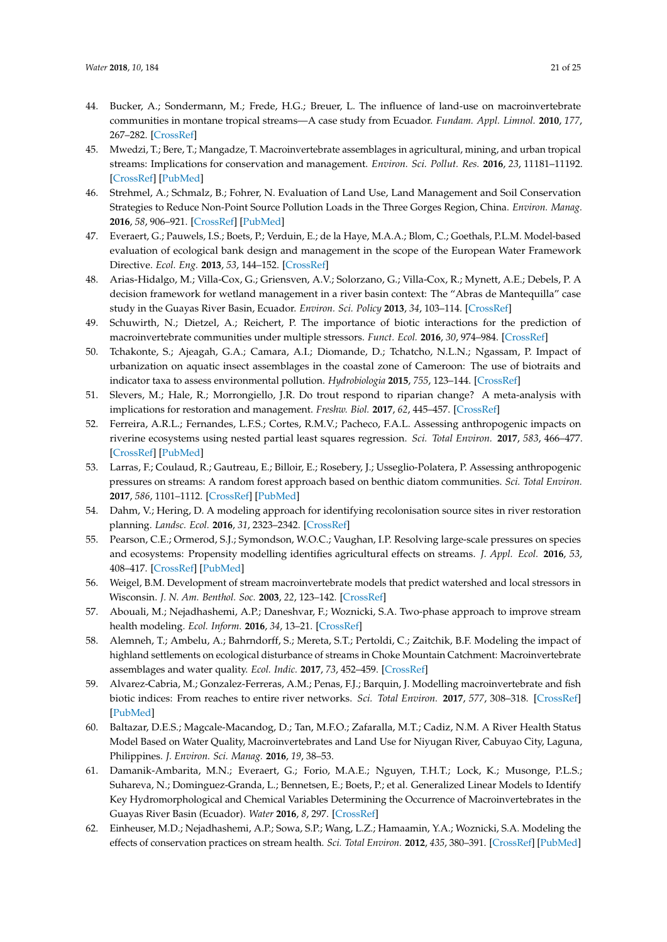- <span id="page-20-0"></span>44. Bucker, A.; Sondermann, M.; Frede, H.G.; Breuer, L. The influence of land-use on macroinvertebrate communities in montane tropical streams—A case study from Ecuador. *Fundam. Appl. Limnol.* **2010**, *177*, 267–282. [\[CrossRef\]](http://dx.doi.org/10.1127/1863-9135/2010/0177-0267)
- <span id="page-20-1"></span>45. Mwedzi, T.; Bere, T.; Mangadze, T. Macroinvertebrate assemblages in agricultural, mining, and urban tropical streams: Implications for conservation and management. *Environ. Sci. Pollut. Res.* **2016**, *23*, 11181–11192. [\[CrossRef\]](http://dx.doi.org/10.1007/s11356-016-6340-y) [\[PubMed\]](http://www.ncbi.nlm.nih.gov/pubmed/26920532)
- <span id="page-20-2"></span>46. Strehmel, A.; Schmalz, B.; Fohrer, N. Evaluation of Land Use, Land Management and Soil Conservation Strategies to Reduce Non-Point Source Pollution Loads in the Three Gorges Region, China. *Environ. Manag.* **2016**, *58*, 906–921. [\[CrossRef\]](http://dx.doi.org/10.1007/s00267-016-0758-3) [\[PubMed\]](http://www.ncbi.nlm.nih.gov/pubmed/27590307)
- <span id="page-20-17"></span><span id="page-20-3"></span>47. Everaert, G.; Pauwels, I.S.; Boets, P.; Verduin, E.; de la Haye, M.A.A.; Blom, C.; Goethals, P.L.M. Model-based evaluation of ecological bank design and management in the scope of the European Water Framework Directive. *Ecol. Eng.* **2013**, *53*, 144–152. [\[CrossRef\]](http://dx.doi.org/10.1016/j.ecoleng.2012.12.034)
- 48. Arias-Hidalgo, M.; Villa-Cox, G.; Griensven, A.V.; Solorzano, G.; Villa-Cox, R.; Mynett, A.E.; Debels, P. A decision framework for wetland management in a river basin context: The "Abras de Mantequilla" case study in the Guayas River Basin, Ecuador. *Environ. Sci. Policy* **2013**, *34*, 103–114. [\[CrossRef\]](http://dx.doi.org/10.1016/j.envsci.2012.10.009)
- <span id="page-20-25"></span><span id="page-20-18"></span><span id="page-20-11"></span>49. Schuwirth, N.; Dietzel, A.; Reichert, P. The importance of biotic interactions for the prediction of macroinvertebrate communities under multiple stressors. *Funct. Ecol.* **2016**, *30*, 974–984. [\[CrossRef\]](http://dx.doi.org/10.1111/1365-2435.12605)
- <span id="page-20-12"></span><span id="page-20-4"></span>50. Tchakonte, S.; Ajeagah, G.A.; Camara, A.I.; Diomande, D.; Tchatcho, N.L.N.; Ngassam, P. Impact of urbanization on aquatic insect assemblages in the coastal zone of Cameroon: The use of biotraits and indicator taxa to assess environmental pollution. *Hydrobiologia* **2015**, *755*, 123–144. [\[CrossRef\]](http://dx.doi.org/10.1007/s10750-015-2221-5)
- <span id="page-20-13"></span><span id="page-20-5"></span>51. Slevers, M.; Hale, R.; Morrongiello, J.R. Do trout respond to riparian change? A meta-analysis with implications for restoration and management. *Freshw. Biol.* **2017**, *62*, 445–457. [\[CrossRef\]](http://dx.doi.org/10.1111/fwb.12888)
- <span id="page-20-14"></span><span id="page-20-6"></span>52. Ferreira, A.R.L.; Fernandes, L.F.S.; Cortes, R.M.V.; Pacheco, F.A.L. Assessing anthropogenic impacts on riverine ecosystems using nested partial least squares regression. *Sci. Total Environ.* **2017**, *583*, 466–477. [\[CrossRef\]](http://dx.doi.org/10.1016/j.scitotenv.2017.01.106) [\[PubMed\]](http://www.ncbi.nlm.nih.gov/pubmed/28119006)
- <span id="page-20-15"></span><span id="page-20-7"></span>53. Larras, F.; Coulaud, R.; Gautreau, E.; Billoir, E.; Rosebery, J.; Usseglio-Polatera, P. Assessing anthropogenic pressures on streams: A random forest approach based on benthic diatom communities. *Sci. Total Environ.* **2017**, *586*, 1101–1112. [\[CrossRef\]](http://dx.doi.org/10.1016/j.scitotenv.2017.02.096) [\[PubMed\]](http://www.ncbi.nlm.nih.gov/pubmed/28222924)
- <span id="page-20-8"></span>54. Dahm, V.; Hering, D. A modeling approach for identifying recolonisation source sites in river restoration planning. *Landsc. Ecol.* **2016**, *31*, 2323–2342. [\[CrossRef\]](http://dx.doi.org/10.1007/s10980-016-0402-x)
- <span id="page-20-16"></span><span id="page-20-9"></span>55. Pearson, C.E.; Ormerod, S.J.; Symondson, W.O.C.; Vaughan, I.P. Resolving large-scale pressures on species and ecosystems: Propensity modelling identifies agricultural effects on streams. *J. Appl. Ecol.* **2016**, *53*, 408–417. [\[CrossRef\]](http://dx.doi.org/10.1111/1365-2664.12586) [\[PubMed\]](http://www.ncbi.nlm.nih.gov/pubmed/27867215)
- <span id="page-20-10"></span>56. Weigel, B.M. Development of stream macroinvertebrate models that predict watershed and local stressors in Wisconsin. *J. N. Am. Benthol. Soc.* **2003**, *22*, 123–142. [\[CrossRef\]](http://dx.doi.org/10.2307/1467982)
- <span id="page-20-23"></span>57. Abouali, M.; Nejadhashemi, A.P.; Daneshvar, F.; Woznicki, S.A. Two-phase approach to improve stream health modeling. *Ecol. Inform.* **2016**, *34*, 13–21. [\[CrossRef\]](http://dx.doi.org/10.1016/j.ecoinf.2016.04.009)
- <span id="page-20-20"></span>58. Alemneh, T.; Ambelu, A.; Bahrndorff, S.; Mereta, S.T.; Pertoldi, C.; Zaitchik, B.F. Modeling the impact of highland settlements on ecological disturbance of streams in Choke Mountain Catchment: Macroinvertebrate assemblages and water quality. *Ecol. Indic.* **2017**, *73*, 452–459. [\[CrossRef\]](http://dx.doi.org/10.1016/j.ecolind.2016.10.019)
- <span id="page-20-24"></span>59. Alvarez-Cabria, M.; Gonzalez-Ferreras, A.M.; Penas, F.J.; Barquin, J. Modelling macroinvertebrate and fish biotic indices: From reaches to entire river networks. *Sci. Total Environ.* **2017**, *577*, 308–318. [\[CrossRef\]](http://dx.doi.org/10.1016/j.scitotenv.2016.10.186) [\[PubMed\]](http://www.ncbi.nlm.nih.gov/pubmed/27802888)
- <span id="page-20-21"></span>60. Baltazar, D.E.S.; Magcale-Macandog, D.; Tan, M.F.O.; Zafaralla, M.T.; Cadiz, N.M. A River Health Status Model Based on Water Quality, Macroinvertebrates and Land Use for Niyugan River, Cabuyao City, Laguna, Philippines. *J. Environ. Sci. Manag.* **2016**, *19*, 38–53.
- <span id="page-20-22"></span>61. Damanik-Ambarita, M.N.; Everaert, G.; Forio, M.A.E.; Nguyen, T.H.T.; Lock, K.; Musonge, P.L.S.; Suhareva, N.; Dominguez-Granda, L.; Bennetsen, E.; Boets, P.; et al. Generalized Linear Models to Identify Key Hydromorphological and Chemical Variables Determining the Occurrence of Macroinvertebrates in the Guayas River Basin (Ecuador). *Water* **2016**, *8*, 297. [\[CrossRef\]](http://dx.doi.org/10.3390/w8070297)
- <span id="page-20-19"></span>62. Einheuser, M.D.; Nejadhashemi, A.P.; Sowa, S.P.; Wang, L.Z.; Hamaamin, Y.A.; Woznicki, S.A. Modeling the effects of conservation practices on stream health. *Sci. Total Environ.* **2012**, *435*, 380–391. [\[CrossRef\]](http://dx.doi.org/10.1016/j.scitotenv.2012.07.033) [\[PubMed\]](http://www.ncbi.nlm.nih.gov/pubmed/22871465)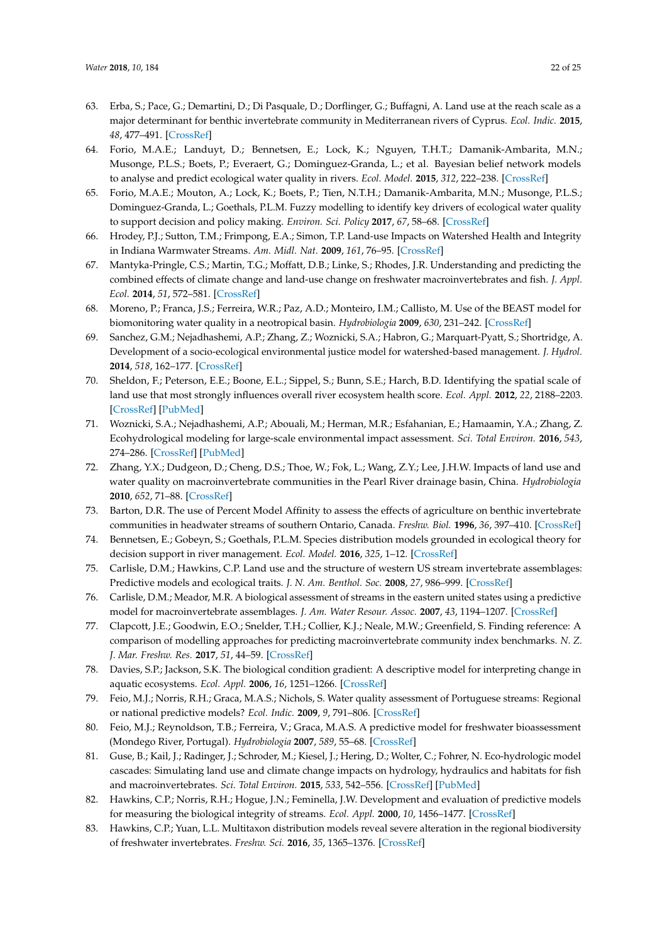- <span id="page-21-30"></span><span id="page-21-7"></span><span id="page-21-6"></span><span id="page-21-5"></span><span id="page-21-4"></span><span id="page-21-3"></span><span id="page-21-2"></span><span id="page-21-1"></span><span id="page-21-0"></span>63. Erba, S.; Pace, G.; Demartini, D.; Di Pasquale, D.; Dorflinger, G.; Buffagni, A. Land use at the reach scale as a major determinant for benthic invertebrate community in Mediterranean rivers of Cyprus. *Ecol. Indic.* **2015**, *48*, 477–491. [\[CrossRef\]](http://dx.doi.org/10.1016/j.ecolind.2014.09.010)
- <span id="page-21-38"></span><span id="page-21-8"></span>64. Forio, M.A.E.; Landuyt, D.; Bennetsen, E.; Lock, K.; Nguyen, T.H.T.; Damanik-Ambarita, M.N.; Musonge, P.L.S.; Boets, P.; Everaert, G.; Dominguez-Granda, L.; et al. Bayesian belief network models to analyse and predict ecological water quality in rivers. *Ecol. Model.* **2015**, *312*, 222–238. [\[CrossRef\]](http://dx.doi.org/10.1016/j.ecolmodel.2015.05.025)
- <span id="page-21-39"></span><span id="page-21-9"></span>65. Forio, M.A.E.; Mouton, A.; Lock, K.; Boets, P.; Tien, N.T.H.; Damanik-Ambarita, M.N.; Musonge, P.L.S.; Dominguez-Granda, L.; Goethals, P.L.M. Fuzzy modelling to identify key drivers of ecological water quality to support decision and policy making. *Environ. Sci. Policy* **2017**, *67*, 58–68. [\[CrossRef\]](http://dx.doi.org/10.1016/j.envsci.2016.12.004)
- <span id="page-21-10"></span>66. Hrodey, P.J.; Sutton, T.M.; Frimpong, E.A.; Simon, T.P. Land-use Impacts on Watershed Health and Integrity in Indiana Warmwater Streams. *Am. Midl. Nat.* **2009**, *161*, 76–95. [\[CrossRef\]](http://dx.doi.org/10.1674/0003-0031-161.1.76)
- <span id="page-21-22"></span><span id="page-21-12"></span><span id="page-21-11"></span>67. Mantyka-Pringle, C.S.; Martin, T.G.; Moffatt, D.B.; Linke, S.; Rhodes, J.R. Understanding and predicting the combined effects of climate change and land-use change on freshwater macroinvertebrates and fish. *J. Appl. Ecol.* **2014**, *51*, 572–581. [\[CrossRef\]](http://dx.doi.org/10.1111/1365-2664.12236)
- <span id="page-21-35"></span><span id="page-21-13"></span>68. Moreno, P.; Franca, J.S.; Ferreira, W.R.; Paz, A.D.; Monteiro, I.M.; Callisto, M. Use of the BEAST model for biomonitoring water quality in a neotropical basin. *Hydrobiologia* **2009**, *630*, 231–242. [\[CrossRef\]](http://dx.doi.org/10.1007/s10750-009-9796-7)
- <span id="page-21-25"></span><span id="page-21-14"></span>69. Sanchez, G.M.; Nejadhashemi, A.P.; Zhang, Z.; Woznicki, S.A.; Habron, G.; Marquart-Pyatt, S.; Shortridge, A. Development of a socio-ecological environmental justice model for watershed-based management. *J. Hydrol.* **2014**, *518*, 162–177. [\[CrossRef\]](http://dx.doi.org/10.1016/j.jhydrol.2013.08.014)
- <span id="page-21-34"></span><span id="page-21-15"></span>70. Sheldon, F.; Peterson, E.E.; Boone, E.L.; Sippel, S.; Bunn, S.E.; Harch, B.D. Identifying the spatial scale of land use that most strongly influences overall river ecosystem health score. *Ecol. Appl.* **2012**, *22*, 2188–2203. [\[CrossRef\]](http://dx.doi.org/10.1890/11-1792.1) [\[PubMed\]](http://www.ncbi.nlm.nih.gov/pubmed/23387119)
- <span id="page-21-33"></span><span id="page-21-17"></span><span id="page-21-16"></span>71. Woznicki, S.A.; Nejadhashemi, A.P.; Abouali, M.; Herman, M.R.; Esfahanian, E.; Hamaamin, Y.A.; Zhang, Z. Ecohydrological modeling for large-scale environmental impact assessment. *Sci. Total Environ.* **2016**, *543*, 274–286. [\[CrossRef\]](http://dx.doi.org/10.1016/j.scitotenv.2015.11.044) [\[PubMed\]](http://www.ncbi.nlm.nih.gov/pubmed/26595397)
- <span id="page-21-37"></span><span id="page-21-18"></span>72. Zhang, Y.X.; Dudgeon, D.; Cheng, D.S.; Thoe, W.; Fok, L.; Wang, Z.Y.; Lee, J.H.W. Impacts of land use and water quality on macroinvertebrate communities in the Pearl River drainage basin, China. *Hydrobiologia* **2010**, *652*, 71–88. [\[CrossRef\]](http://dx.doi.org/10.1007/s10750-010-0320-x)
- <span id="page-21-24"></span><span id="page-21-19"></span>73. Barton, D.R. The use of Percent Model Affinity to assess the effects of agriculture on benthic invertebrate communities in headwater streams of southern Ontario, Canada. *Freshw. Biol.* **1996**, *36*, 397–410. [\[CrossRef\]](http://dx.doi.org/10.1046/j.1365-2427.1996.00053.x)
- <span id="page-21-36"></span><span id="page-21-20"></span>74. Bennetsen, E.; Gobeyn, S.; Goethals, P.L.M. Species distribution models grounded in ecological theory for decision support in river management. *Ecol. Model.* **2016**, *325*, 1–12. [\[CrossRef\]](http://dx.doi.org/10.1016/j.ecolmodel.2015.12.016)
- <span id="page-21-31"></span>75. Carlisle, D.M.; Hawkins, C.P. Land use and the structure of western US stream invertebrate assemblages: Predictive models and ecological traits. *J. N. Am. Benthol. Soc.* **2008**, *27*, 986–999. [\[CrossRef\]](http://dx.doi.org/10.1899/07-176.1)
- <span id="page-21-32"></span>76. Carlisle, D.M.; Meador, M.R. A biological assessment of streams in the eastern united states using a predictive model for macroinvertebrate assemblages. *J. Am. Water Resour. Assoc.* **2007**, *43*, 1194–1207. [\[CrossRef\]](http://dx.doi.org/10.1111/j.1752-1688.2007.00097.x)
- <span id="page-21-21"></span>77. Clapcott, J.E.; Goodwin, E.O.; Snelder, T.H.; Collier, K.J.; Neale, M.W.; Greenfield, S. Finding reference: A comparison of modelling approaches for predicting macroinvertebrate community index benchmarks. *N. Z. J. Mar. Freshw. Res.* **2017**, *51*, 44–59. [\[CrossRef\]](http://dx.doi.org/10.1080/00288330.2016.1265994)
- <span id="page-21-27"></span>78. Davies, S.P.; Jackson, S.K. The biological condition gradient: A descriptive model for interpreting change in aquatic ecosystems. *Ecol. Appl.* **2006**, *16*, 1251–1266. [\[CrossRef\]](http://dx.doi.org/10.1890/1051-0761(2006)016[1251:TBCGAD]2.0.CO;2)
- <span id="page-21-29"></span>79. Feio, M.J.; Norris, R.H.; Graca, M.A.S.; Nichols, S. Water quality assessment of Portuguese streams: Regional or national predictive models? *Ecol. Indic.* **2009**, *9*, 791–806. [\[CrossRef\]](http://dx.doi.org/10.1016/j.ecolind.2008.09.012)
- <span id="page-21-23"></span>80. Feio, M.J.; Reynoldson, T.B.; Ferreira, V.; Graca, M.A.S. A predictive model for freshwater bioassessment (Mondego River, Portugal). *Hydrobiologia* **2007**, *589*, 55–68. [\[CrossRef\]](http://dx.doi.org/10.1007/s10750-006-0720-0)
- <span id="page-21-40"></span>81. Guse, B.; Kail, J.; Radinger, J.; Schroder, M.; Kiesel, J.; Hering, D.; Wolter, C.; Fohrer, N. Eco-hydrologic model cascades: Simulating land use and climate change impacts on hydrology, hydraulics and habitats for fish and macroinvertebrates. *Sci. Total Environ.* **2015**, *533*, 542–556. [\[CrossRef\]](http://dx.doi.org/10.1016/j.scitotenv.2015.05.078) [\[PubMed\]](http://www.ncbi.nlm.nih.gov/pubmed/26188405)
- <span id="page-21-28"></span>82. Hawkins, C.P.; Norris, R.H.; Hogue, J.N.; Feminella, J.W. Development and evaluation of predictive models for measuring the biological integrity of streams. *Ecol. Appl.* **2000**, *10*, 1456–1477. [\[CrossRef\]](http://dx.doi.org/10.1890/1051-0761(2000)010[1456:DAEOPM]2.0.CO;2)
- <span id="page-21-26"></span>83. Hawkins, C.P.; Yuan, L.L. Multitaxon distribution models reveal severe alteration in the regional biodiversity of freshwater invertebrates. *Freshw. Sci.* **2016**, *35*, 1365–1376. [\[CrossRef\]](http://dx.doi.org/10.1086/688848)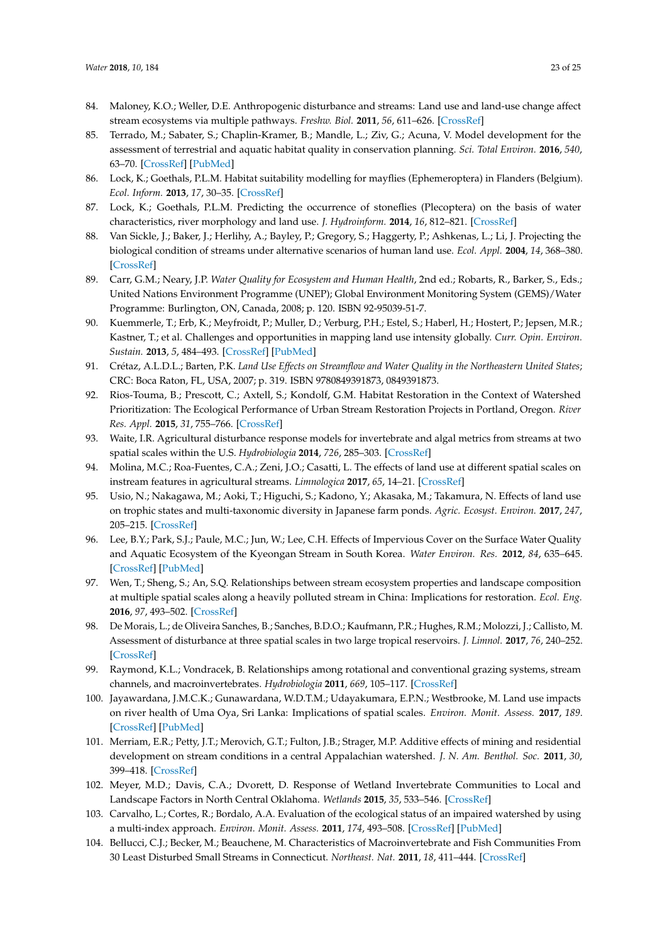- <span id="page-22-23"></span><span id="page-22-4"></span><span id="page-22-3"></span><span id="page-22-2"></span><span id="page-22-1"></span><span id="page-22-0"></span>84. Maloney, K.O.; Weller, D.E. Anthropogenic disturbance and streams: Land use and land-use change affect stream ecosystems via multiple pathways. *Freshw. Biol.* **2011**, *56*, 611–626. [\[CrossRef\]](http://dx.doi.org/10.1111/j.1365-2427.2010.02522.x)
- <span id="page-22-6"></span>85. Terrado, M.; Sabater, S.; Chaplin-Kramer, B.; Mandle, L.; Ziv, G.; Acuna, V. Model development for the assessment of terrestrial and aquatic habitat quality in conservation planning. *Sci. Total Environ.* **2016**, *540*, 63–70. [\[CrossRef\]](http://dx.doi.org/10.1016/j.scitotenv.2015.03.064) [\[PubMed\]](http://www.ncbi.nlm.nih.gov/pubmed/25836757)
- <span id="page-22-25"></span>86. Lock, K.; Goethals, P.L.M. Habitat suitability modelling for mayflies (Ephemeroptera) in Flanders (Belgium). *Ecol. Inform.* **2013**, *17*, 30–35. [\[CrossRef\]](http://dx.doi.org/10.1016/j.ecoinf.2011.12.004)
- <span id="page-22-24"></span>87. Lock, K.; Goethals, P.L.M. Predicting the occurrence of stoneflies (Plecoptera) on the basis of water characteristics, river morphology and land use. *J. Hydroinform.* **2014**, *16*, 812–821. [\[CrossRef\]](http://dx.doi.org/10.2166/hydro.2013.188)
- <span id="page-22-22"></span>88. Van Sickle, J.; Baker, J.; Herlihy, A.; Bayley, P.; Gregory, S.; Haggerty, P.; Ashkenas, L.; Li, J. Projecting the biological condition of streams under alternative scenarios of human land use. *Ecol. Appl.* **2004**, *14*, 368–380. [\[CrossRef\]](http://dx.doi.org/10.1890/02-5009)
- <span id="page-22-5"></span>89. Carr, G.M.; Neary, J.P. *Water Quality for Ecosystem and Human Health*, 2nd ed.; Robarts, R., Barker, S., Eds.; United Nations Environment Programme (UNEP); Global Environment Monitoring System (GEMS)/Water Programme: Burlington, ON, Canada, 2008; p. 120. ISBN 92-95039-51-7.
- <span id="page-22-7"></span>90. Kuemmerle, T.; Erb, K.; Meyfroidt, P.; Muller, D.; Verburg, P.H.; Estel, S.; Haberl, H.; Hostert, P.; Jepsen, M.R.; Kastner, T.; et al. Challenges and opportunities in mapping land use intensity gIobally. *Curr. Opin. Environ. Sustain.* **2013**, *5*, 484–493. [\[CrossRef\]](http://dx.doi.org/10.1016/j.cosust.2013.06.002) [\[PubMed\]](http://www.ncbi.nlm.nih.gov/pubmed/24143157)
- <span id="page-22-8"></span>91. Crétaz, A.L.D.L.; Barten, P.K. *Land Use Effects on Streamflow and Water Quality in the Northeastern United States*; CRC: Boca Raton, FL, USA, 2007; p. 319. ISBN 9780849391873, 0849391873.
- <span id="page-22-9"></span>92. Rios-Touma, B.; Prescott, C.; Axtell, S.; Kondolf, G.M. Habitat Restoration in the Context of Watershed Prioritization: The Ecological Performance of Urban Stream Restoration Projects in Portland, Oregon. *River Res. Appl.* **2015**, *31*, 755–766. [\[CrossRef\]](http://dx.doi.org/10.1002/rra.2769)
- <span id="page-22-10"></span>93. Waite, I.R. Agricultural disturbance response models for invertebrate and algal metrics from streams at two spatial scales within the U.S. *Hydrobiologia* **2014**, *726*, 285–303. [\[CrossRef\]](http://dx.doi.org/10.1007/s10750-013-1774-4)
- <span id="page-22-11"></span>94. Molina, M.C.; Roa-Fuentes, C.A.; Zeni, J.O.; Casatti, L. The effects of land use at different spatial scales on instream features in agricultural streams. *Limnologica* **2017**, *65*, 14–21. [\[CrossRef\]](http://dx.doi.org/10.1016/j.limno.2017.06.001)
- <span id="page-22-12"></span>95. Usio, N.; Nakagawa, M.; Aoki, T.; Higuchi, S.; Kadono, Y.; Akasaka, M.; Takamura, N. Effects of land use on trophic states and multi-taxonomic diversity in Japanese farm ponds. *Agric. Ecosyst. Environ.* **2017**, *247*, 205–215. [\[CrossRef\]](http://dx.doi.org/10.1016/j.agee.2017.06.043)
- <span id="page-22-13"></span>96. Lee, B.Y.; Park, S.J.; Paule, M.C.; Jun, W.; Lee, C.H. Effects of Impervious Cover on the Surface Water Quality and Aquatic Ecosystem of the Kyeongan Stream in South Korea. *Water Environ. Res.* **2012**, *84*, 635–645. [\[CrossRef\]](http://dx.doi.org/10.2175/106143012X13373550426878) [\[PubMed\]](http://www.ncbi.nlm.nih.gov/pubmed/22953448)
- <span id="page-22-14"></span>97. Wen, T.; Sheng, S.; An, S.Q. Relationships between stream ecosystem properties and landscape composition at multiple spatial scales along a heavily polluted stream in China: Implications for restoration. *Ecol. Eng.* **2016**, *97*, 493–502. [\[CrossRef\]](http://dx.doi.org/10.1016/j.ecoleng.2016.10.028)
- <span id="page-22-15"></span>98. De Morais, L.; de Oliveira Sanches, B.; Sanches, B.D.O.; Kaufmann, P.R.; Hughes, R.M.; Molozzi, J.; Callisto, M. Assessment of disturbance at three spatial scales in two large tropical reservoirs. *J. Limnol.* **2017**, *76*, 240–252. [\[CrossRef\]](http://dx.doi.org/10.4081/jlimnol.2016.1547)
- <span id="page-22-16"></span>99. Raymond, K.L.; Vondracek, B. Relationships among rotational and conventional grazing systems, stream channels, and macroinvertebrates. *Hydrobiologia* **2011**, *669*, 105–117. [\[CrossRef\]](http://dx.doi.org/10.1007/s10750-011-0653-0)
- <span id="page-22-17"></span>100. Jayawardana, J.M.C.K.; Gunawardana, W.D.T.M.; Udayakumara, E.P.N.; Westbrooke, M. Land use impacts on river health of Uma Oya, Sri Lanka: Implications of spatial scales. *Environ. Monit. Assess.* **2017**, *189*. [\[CrossRef\]](http://dx.doi.org/10.1007/s10661-017-5863-0) [\[PubMed\]](http://www.ncbi.nlm.nih.gov/pubmed/28357718)
- <span id="page-22-18"></span>101. Merriam, E.R.; Petty, J.T.; Merovich, G.T.; Fulton, J.B.; Strager, M.P. Additive effects of mining and residential development on stream conditions in a central Appalachian watershed. *J. N. Am. Benthol. Soc.* **2011**, *30*, 399–418. [\[CrossRef\]](http://dx.doi.org/10.1899/10-079.1)
- <span id="page-22-19"></span>102. Meyer, M.D.; Davis, C.A.; Dvorett, D. Response of Wetland Invertebrate Communities to Local and Landscape Factors in North Central Oklahoma. *Wetlands* **2015**, *35*, 533–546. [\[CrossRef\]](http://dx.doi.org/10.1007/s13157-015-0642-6)
- <span id="page-22-20"></span>103. Carvalho, L.; Cortes, R.; Bordalo, A.A. Evaluation of the ecological status of an impaired watershed by using a multi-index approach. *Environ. Monit. Assess.* **2011**, *174*, 493–508. [\[CrossRef\]](http://dx.doi.org/10.1007/s10661-010-1473-9) [\[PubMed\]](http://www.ncbi.nlm.nih.gov/pubmed/20449650)
- <span id="page-22-21"></span>104. Bellucci, C.J.; Becker, M.; Beauchene, M. Characteristics of Macroinvertebrate and Fish Communities From 30 Least Disturbed Small Streams in Connecticut. *Northeast. Nat.* **2011**, *18*, 411–444. [\[CrossRef\]](http://dx.doi.org/10.1656/045.018.0402)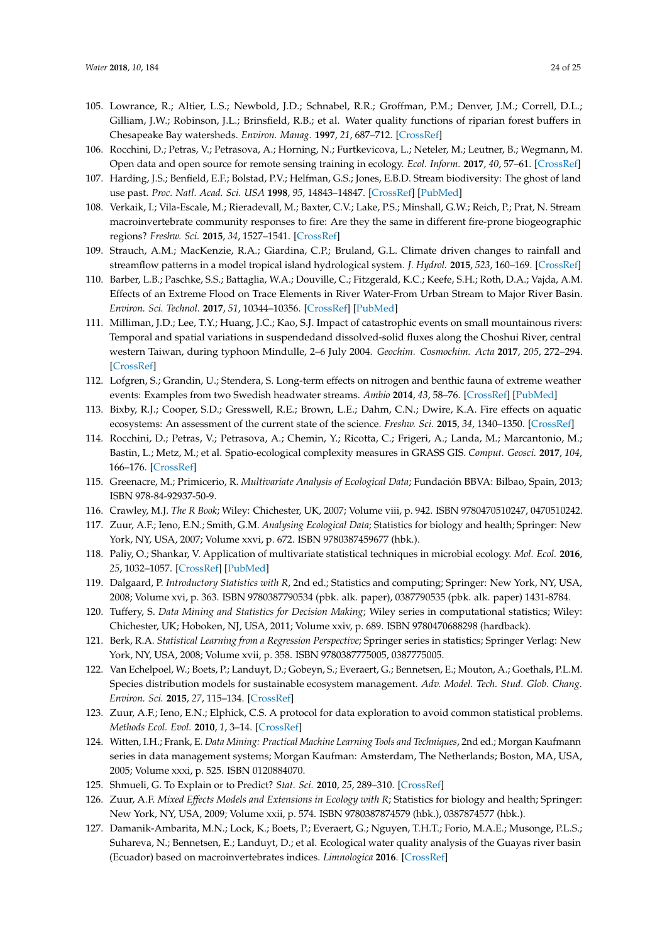- <span id="page-23-0"></span>105. Lowrance, R.; Altier, L.S.; Newbold, J.D.; Schnabel, R.R.; Groffman, P.M.; Denver, J.M.; Correll, D.L.; Gilliam, J.W.; Robinson, J.L.; Brinsfield, R.B.; et al. Water quality functions of riparian forest buffers in Chesapeake Bay watersheds. *Environ. Manag.* **1997**, *21*, 687–712. [\[CrossRef\]](http://dx.doi.org/10.1007/s002679900060)
- <span id="page-23-1"></span>106. Rocchini, D.; Petras, V.; Petrasova, A.; Horning, N.; Furtkevicova, L.; Neteler, M.; Leutner, B.; Wegmann, M. Open data and open source for remote sensing training in ecology. *Ecol. Inform.* **2017**, *40*, 57–61. [\[CrossRef\]](http://dx.doi.org/10.1016/j.ecoinf.2017.05.004)
- <span id="page-23-2"></span>107. Harding, J.S.; Benfield, E.F.; Bolstad, P.V.; Helfman, G.S.; Jones, E.B.D. Stream biodiversity: The ghost of land use past. *Proc. Natl. Acad. Sci. USA* **1998**, *95*, 14843–14847. [\[CrossRef\]](http://dx.doi.org/10.1073/pnas.95.25.14843) [\[PubMed\]](http://www.ncbi.nlm.nih.gov/pubmed/9843977)
- <span id="page-23-3"></span>108. Verkaik, I.; Vila-Escale, M.; Rieradevall, M.; Baxter, C.V.; Lake, P.S.; Minshall, G.W.; Reich, P.; Prat, N. Stream macroinvertebrate community responses to fire: Are they the same in different fire-prone biogeographic regions? *Freshw. Sci.* **2015**, *34*, 1527–1541. [\[CrossRef\]](http://dx.doi.org/10.1086/683370)
- 109. Strauch, A.M.; MacKenzie, R.A.; Giardina, C.P.; Bruland, G.L. Climate driven changes to rainfall and streamflow patterns in a model tropical island hydrological system. *J. Hydrol.* **2015**, *523*, 160–169. [\[CrossRef\]](http://dx.doi.org/10.1016/j.jhydrol.2015.01.045)
- 110. Barber, L.B.; Paschke, S.S.; Battaglia, W.A.; Douville, C.; Fitzgerald, K.C.; Keefe, S.H.; Roth, D.A.; Vajda, A.M. Effects of an Extreme Flood on Trace Elements in River Water-From Urban Stream to Major River Basin. *Environ. Sci. Technol.* **2017**, *51*, 10344–10356. [\[CrossRef\]](http://dx.doi.org/10.1021/acs.est.7b01767) [\[PubMed\]](http://www.ncbi.nlm.nih.gov/pubmed/28862461)
- <span id="page-23-20"></span><span id="page-23-4"></span>111. Milliman, J.D.; Lee, T.Y.; Huang, J.C.; Kao, S.J. Impact of catastrophic events on small mountainous rivers: Temporal and spatial variations in suspendedand dissolved-solid fluxes along the Choshui River, central western Taiwan, during typhoon Mindulle, 2–6 July 2004. *Geochim. Cosmochim. Acta* **2017**, *205*, 272–294. [\[CrossRef\]](http://dx.doi.org/10.1016/j.gca.2017.02.015)
- <span id="page-23-5"></span>112. Lofgren, S.; Grandin, U.; Stendera, S. Long-term effects on nitrogen and benthic fauna of extreme weather events: Examples from two Swedish headwater streams. *Ambio* **2014**, *43*, 58–76. [\[CrossRef\]](http://dx.doi.org/10.1007/s13280-014-0562-3) [\[PubMed\]](http://www.ncbi.nlm.nih.gov/pubmed/25403970)
- <span id="page-23-6"></span>113. Bixby, R.J.; Cooper, S.D.; Gresswell, R.E.; Brown, L.E.; Dahm, C.N.; Dwire, K.A. Fire effects on aquatic ecosystems: An assessment of the current state of the science. *Freshw. Sci.* **2015**, *34*, 1340–1350. [\[CrossRef\]](http://dx.doi.org/10.1086/684073)
- <span id="page-23-7"></span>114. Rocchini, D.; Petras, V.; Petrasova, A.; Chemin, Y.; Ricotta, C.; Frigeri, A.; Landa, M.; Marcantonio, M.; Bastin, L.; Metz, M.; et al. Spatio-ecological complexity measures in GRASS GIS. *Comput. Geosci.* **2017**, *104*, 166–176. [\[CrossRef\]](http://dx.doi.org/10.1016/j.cageo.2016.05.006)
- <span id="page-23-8"></span>115. Greenacre, M.; Primicerio, R. *Multivariate Analysis of Ecological Data*; Fundación BBVA: Bilbao, Spain, 2013; ISBN 978-84-92937-50-9.
- <span id="page-23-10"></span>116. Crawley, M.J. *The R Book*; Wiley: Chichester, UK, 2007; Volume viii, p. 942. ISBN 9780470510247, 0470510242.
- <span id="page-23-9"></span>117. Zuur, A.F.; Ieno, E.N.; Smith, G.M. *Analysing Ecological Data*; Statistics for biology and health; Springer: New York, NY, USA, 2007; Volume xxvi, p. 672. ISBN 9780387459677 (hbk.).
- <span id="page-23-11"></span>118. Paliy, O.; Shankar, V. Application of multivariate statistical techniques in microbial ecology. *Mol. Ecol.* **2016**, *25*, 1032–1057. [\[CrossRef\]](http://dx.doi.org/10.1111/mec.13536) [\[PubMed\]](http://www.ncbi.nlm.nih.gov/pubmed/26786791)
- <span id="page-23-12"></span>119. Dalgaard, P. *Introductory Statistics with R*, 2nd ed.; Statistics and computing; Springer: New York, NY, USA, 2008; Volume xvi, p. 363. ISBN 9780387790534 (pbk. alk. paper), 0387790535 (pbk. alk. paper) 1431-8784.
- <span id="page-23-13"></span>120. Tuffery, S. *Data Mining and Statistics for Decision Making*; Wiley series in computational statistics; Wiley: Chichester, UK; Hoboken, NJ, USA, 2011; Volume xxiv, p. 689. ISBN 9780470688298 (hardback).
- <span id="page-23-14"></span>121. Berk, R.A. *Statistical Learning from a Regression Perspective*; Springer series in statistics; Springer Verlag: New York, NY, USA, 2008; Volume xvii, p. 358. ISBN 9780387775005, 0387775005.
- <span id="page-23-15"></span>122. Van Echelpoel, W.; Boets, P.; Landuyt, D.; Gobeyn, S.; Everaert, G.; Bennetsen, E.; Mouton, A.; Goethals, P.L.M. Species distribution models for sustainable ecosystem management. *Adv. Model. Tech. Stud. Glob. Chang. Environ. Sci.* **2015**, *27*, 115–134. [\[CrossRef\]](http://dx.doi.org/10.1016/B978-0-444-63536-5.00008-9)
- <span id="page-23-16"></span>123. Zuur, A.F.; Ieno, E.N.; Elphick, C.S. A protocol for data exploration to avoid common statistical problems. *Methods Ecol. Evol.* **2010**, *1*, 3–14. [\[CrossRef\]](http://dx.doi.org/10.1111/j.2041-210X.2009.00001.x)
- <span id="page-23-17"></span>124. Witten, I.H.; Frank, E. *Data Mining: Practical Machine Learning Tools and Techniques*, 2nd ed.; Morgan Kaufmann series in data management systems; Morgan Kaufman: Amsterdam, The Netherlands; Boston, MA, USA, 2005; Volume xxxi, p. 525. ISBN 0120884070.
- <span id="page-23-18"></span>125. Shmueli, G. To Explain or to Predict? *Stat. Sci.* **2010**, *25*, 289–310. [\[CrossRef\]](http://dx.doi.org/10.1214/10-STS330)
- <span id="page-23-19"></span>126. Zuur, A.F. *Mixed Effects Models and Extensions in Ecology with R*; Statistics for biology and health; Springer: New York, NY, USA, 2009; Volume xxii, p. 574. ISBN 9780387874579 (hbk.), 0387874577 (hbk.).
- 127. Damanik-Ambarita, M.N.; Lock, K.; Boets, P.; Everaert, G.; Nguyen, T.H.T.; Forio, M.A.E.; Musonge, P.L.S.; Suhareva, N.; Bennetsen, E.; Landuyt, D.; et al. Ecological water quality analysis of the Guayas river basin (Ecuador) based on macroinvertebrates indices. *Limnologica* **2016**. [\[CrossRef\]](http://dx.doi.org/10.1016/j.limno.2016.01.001)